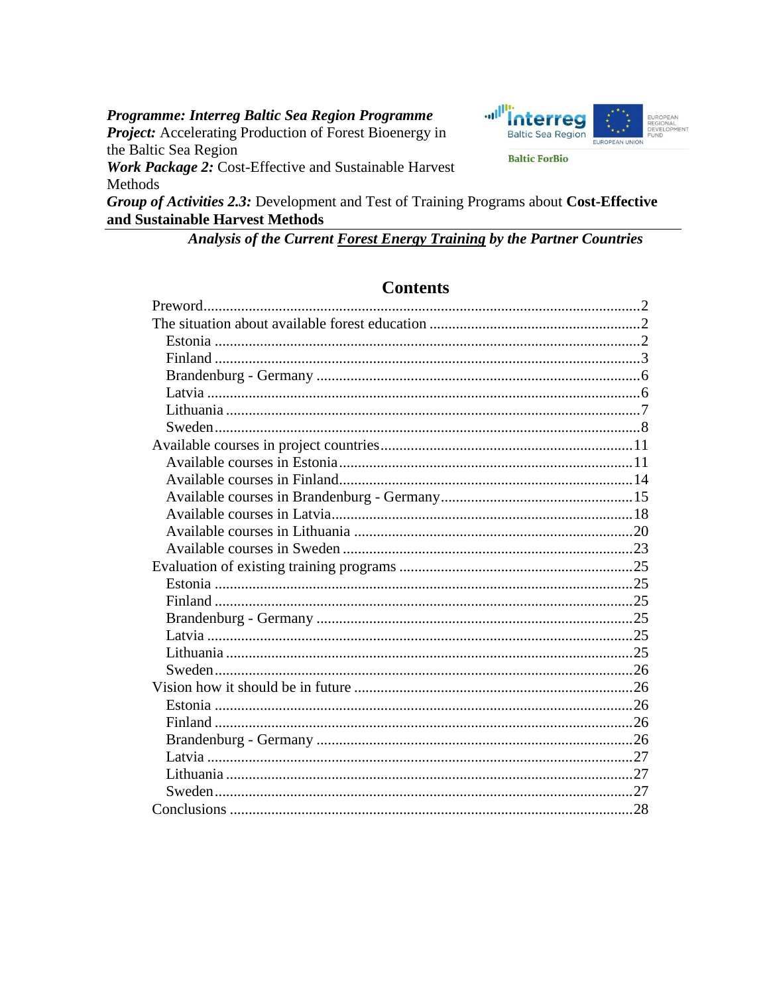Programme: Interreg Baltic Sea Region Programme **Project:** Accelerating Production of Forest Bioenergy in the Baltic Sea Region





**Baltic ForBio** 

Group of Activities 2.3: Development and Test of Training Programs about Cost-Effective and Sustainable Harvest Methods

Analysis of the Current Forest Energy Training by the Partner Countries

# **Contents**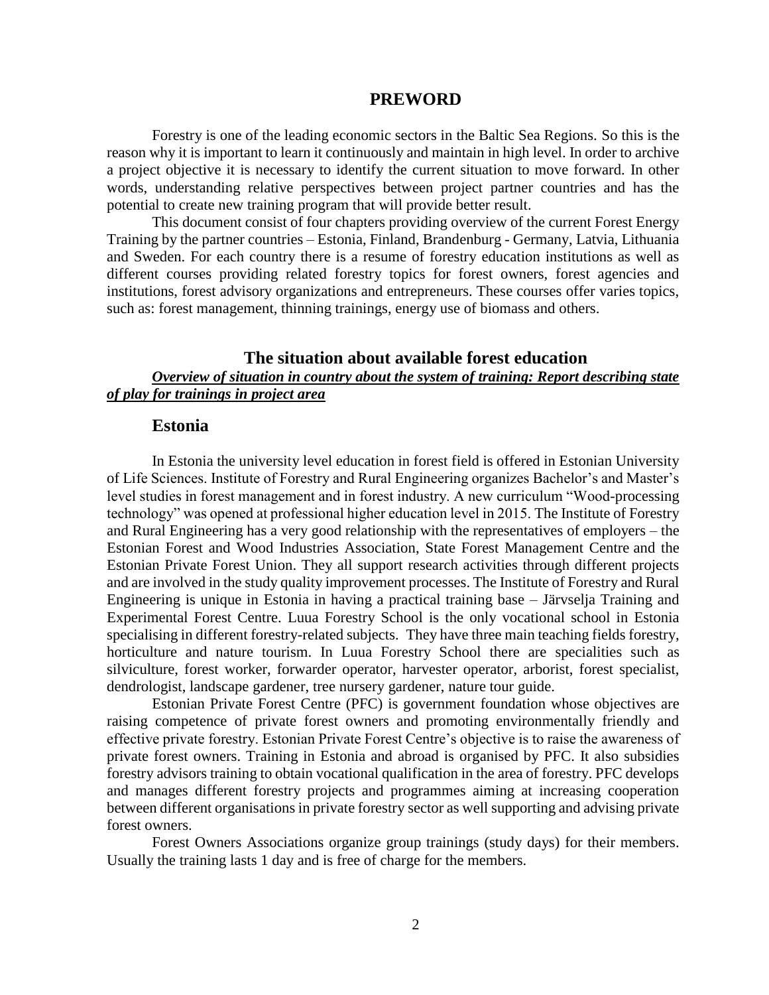#### **PREWORD**

<span id="page-1-0"></span>Forestry is one of the leading economic sectors in the Baltic Sea Regions. So this is the reason why it is important to learn it continuously and maintain in high level. In order to archive a project objective it is necessary to identify the current situation to move forward. In other words, understanding relative perspectives between project partner countries and has the potential to create new training program that will provide better result.

This document consist of four chapters providing overview of the current Forest Energy Training by the partner countries – Estonia, Finland, Brandenburg - Germany, Latvia, Lithuania and Sweden. For each country there is a resume of forestry education institutions as well as different courses providing related forestry topics for forest owners, forest agencies and institutions, forest advisory organizations and entrepreneurs. These courses offer varies topics, such as: forest management, thinning trainings, energy use of biomass and others.

### <span id="page-1-1"></span>**The situation about available forest education** *Overview of situation in country about the system of training: Report describing state of play for trainings in project area*

#### <span id="page-1-2"></span>**Estonia**

In Estonia the university level education in forest field is offered in Estonian University of Life Sciences. Institute of Forestry and Rural Engineering organizes Bachelor's and Master's level studies in forest management and in forest industry. A new curriculum "Wood-processing technology" was opened at professional higher education level in 2015. The Institute of Forestry and Rural Engineering has a very good relationship with the representatives of employers – the Estonian Forest and Wood Industries Association, State Forest Management Centre and the Estonian Private Forest Union. They all support research activities through different projects and are involved in the study quality improvement processes. The Institute of Forestry and Rural Engineering is unique in Estonia in having a practical training base – Järvselja Training and Experimental Forest Centre. Luua Forestry School is the only vocational school in Estonia specialising in different forestry-related subjects. They have three main teaching fields forestry, horticulture and nature tourism. In Luua Forestry School there are specialities such as silviculture, forest worker, forwarder operator, harvester operator, arborist, forest specialist, dendrologist, landscape gardener, tree nursery gardener, nature tour guide.

Estonian Private Forest Centre (PFC) is government foundation whose objectives are raising competence of private forest owners and promoting environmentally friendly and effective private forestry. Estonian Private Forest Centre's objective is to raise the awareness of private forest owners. Training in Estonia and abroad is organised by PFC. It also subsidies forestry advisors training to obtain vocational qualification in the area of forestry. PFC develops and manages different forestry projects and programmes aiming at increasing cooperation between different organisations in private forestry sector as well supporting and advising private forest owners.

Forest Owners Associations organize group trainings (study days) for their members. Usually the training lasts 1 day and is free of charge for the members.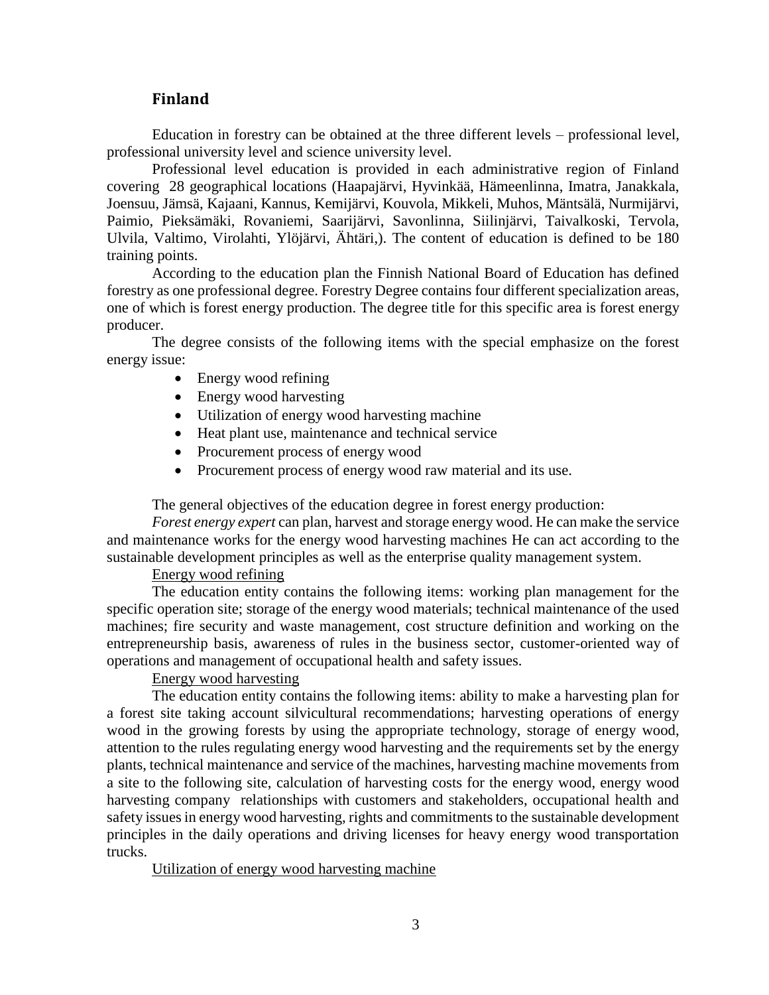#### **Finland**

<span id="page-2-0"></span>Education in forestry can be obtained at the three different levels – professional level, professional university level and science university level.

Professional level education is provided in each administrative region of Finland covering 28 geographical locations (Haapajärvi, Hyvinkää, Hämeenlinna, Imatra, Janakkala, Joensuu, Jämsä, Kajaani, Kannus, Kemijärvi, Kouvola, Mikkeli, Muhos, Mäntsälä, Nurmijärvi, Paimio, Pieksämäki, Rovaniemi, Saarijärvi, Savonlinna, Siilinjärvi, Taivalkoski, Tervola, Ulvila, Valtimo, Virolahti, Ylöjärvi, Ähtäri,). The content of education is defined to be 180 training points.

According to the education plan the Finnish National Board of Education has defined forestry as one professional degree. Forestry Degree contains four different specialization areas, one of which is forest energy production. The degree title for this specific area is forest energy producer.

The degree consists of the following items with the special emphasize on the forest energy issue:

- Energy wood refining
- Energy wood harvesting
- Utilization of energy wood harvesting machine
- Heat plant use, maintenance and technical service
- Procurement process of energy wood
- Procurement process of energy wood raw material and its use.

The general objectives of the education degree in forest energy production:

*Forest energy expert* can plan, harvest and storage energy wood. He can make the service and maintenance works for the energy wood harvesting machines He can act according to the sustainable development principles as well as the enterprise quality management system.

# Energy wood refining

The education entity contains the following items: working plan management for the specific operation site; storage of the energy wood materials; technical maintenance of the used machines; fire security and waste management, cost structure definition and working on the entrepreneurship basis, awareness of rules in the business sector, customer-oriented way of operations and management of occupational health and safety issues.

# Energy wood harvesting

The education entity contains the following items: ability to make a harvesting plan for a forest site taking account silvicultural recommendations; harvesting operations of energy wood in the growing forests by using the appropriate technology, storage of energy wood, attention to the rules regulating energy wood harvesting and the requirements set by the energy plants, technical maintenance and service of the machines, harvesting machine movements from a site to the following site, calculation of harvesting costs for the energy wood, energy wood harvesting company relationships with customers and stakeholders, occupational health and safety issues in energy wood harvesting, rights and commitments to the sustainable development principles in the daily operations and driving licenses for heavy energy wood transportation trucks.

#### Utilization of energy wood harvesting machine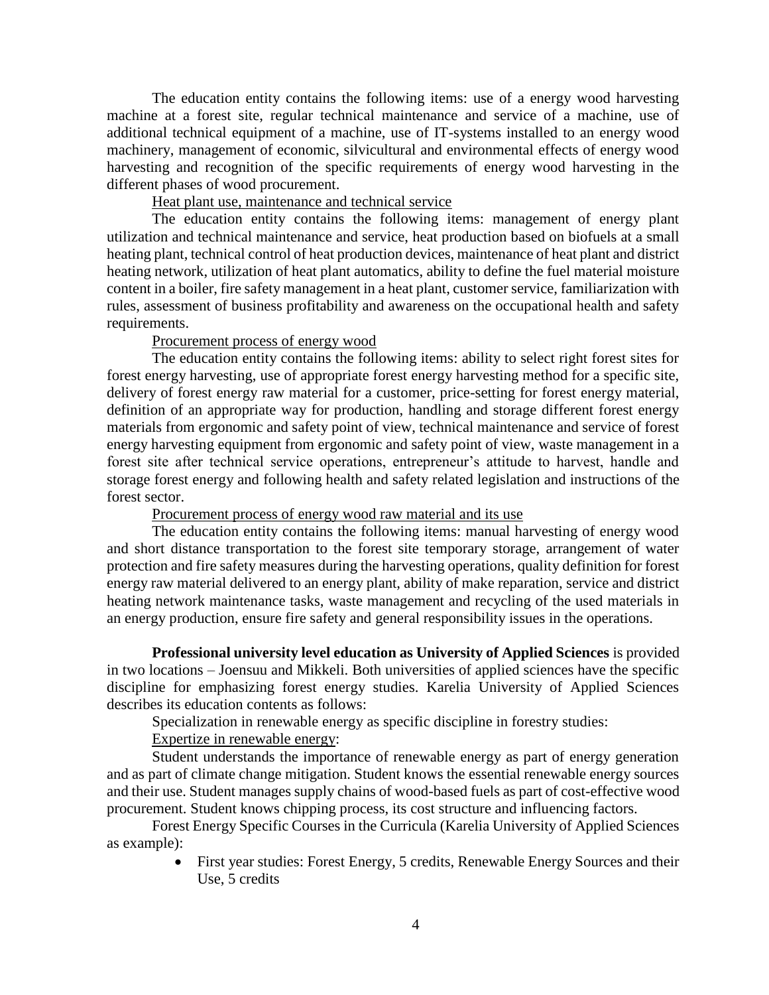The education entity contains the following items: use of a energy wood harvesting machine at a forest site, regular technical maintenance and service of a machine, use of additional technical equipment of a machine, use of IT-systems installed to an energy wood machinery, management of economic, silvicultural and environmental effects of energy wood harvesting and recognition of the specific requirements of energy wood harvesting in the different phases of wood procurement.

# Heat plant use, maintenance and technical service

The education entity contains the following items: management of energy plant utilization and technical maintenance and service, heat production based on biofuels at a small heating plant, technical control of heat production devices, maintenance of heat plant and district heating network, utilization of heat plant automatics, ability to define the fuel material moisture content in a boiler, fire safety management in a heat plant, customer service, familiarization with rules, assessment of business profitability and awareness on the occupational health and safety requirements.

#### Procurement process of energy wood

The education entity contains the following items: ability to select right forest sites for forest energy harvesting, use of appropriate forest energy harvesting method for a specific site, delivery of forest energy raw material for a customer, price-setting for forest energy material, definition of an appropriate way for production, handling and storage different forest energy materials from ergonomic and safety point of view, technical maintenance and service of forest energy harvesting equipment from ergonomic and safety point of view, waste management in a forest site after technical service operations, entrepreneur's attitude to harvest, handle and storage forest energy and following health and safety related legislation and instructions of the forest sector.

Procurement process of energy wood raw material and its use

The education entity contains the following items: manual harvesting of energy wood and short distance transportation to the forest site temporary storage, arrangement of water protection and fire safety measures during the harvesting operations, quality definition for forest energy raw material delivered to an energy plant, ability of make reparation, service and district heating network maintenance tasks, waste management and recycling of the used materials in an energy production, ensure fire safety and general responsibility issues in the operations.

**Professional university level education as University of Applied Sciences** is provided in two locations – Joensuu and Mikkeli. Both universities of applied sciences have the specific discipline for emphasizing forest energy studies. Karelia University of Applied Sciences describes its education contents as follows:

Specialization in renewable energy as specific discipline in forestry studies:

Expertize in renewable energy:

Student understands the importance of renewable energy as part of energy generation and as part of climate change mitigation. Student knows the essential renewable energy sources and their use. Student manages supply chains of wood-based fuels as part of cost-effective wood procurement. Student knows chipping process, its cost structure and influencing factors.

Forest Energy Specific Courses in the Curricula (Karelia University of Applied Sciences as example):

> First year studies: Forest Energy, 5 credits, Renewable Energy Sources and their Use, 5 credits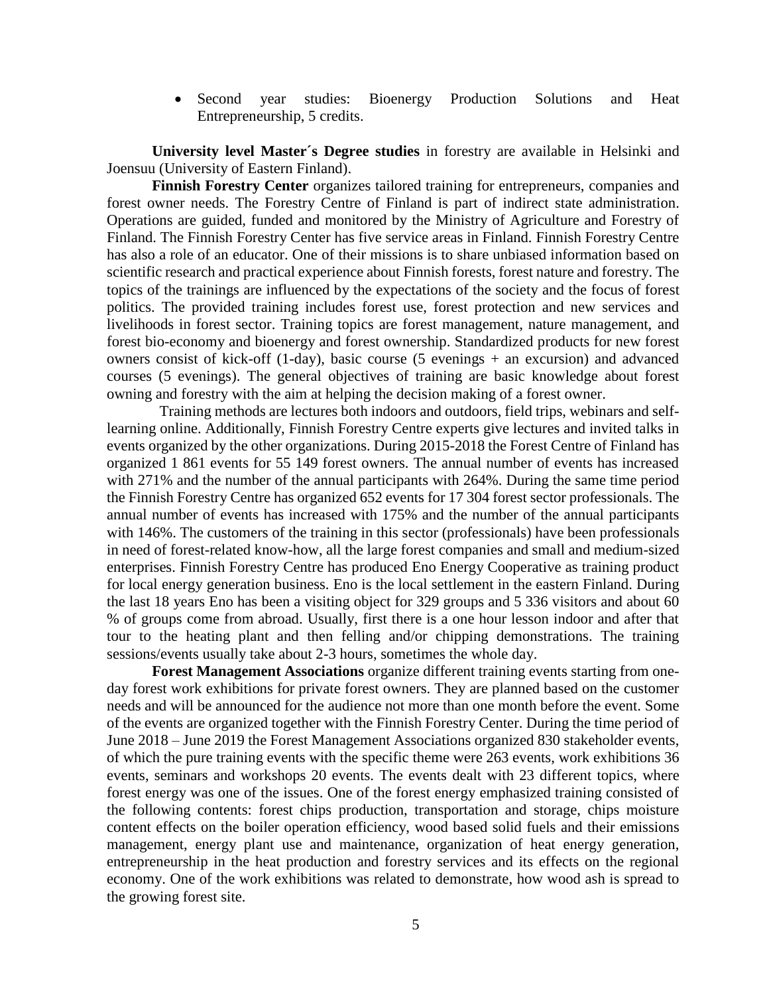• Second year studies: Bioenergy Production Solutions and Heat Entrepreneurship, 5 credits.

**University level Master´s Degree studies** in forestry are available in Helsinki and Joensuu (University of Eastern Finland).

**Finnish Forestry Center** organizes tailored training for entrepreneurs, companies and forest owner needs. The Forestry Centre of Finland is part of indirect state administration. Operations are guided, funded and monitored by the Ministry of Agriculture and Forestry of Finland. The Finnish Forestry Center has five service areas in Finland. Finnish Forestry Centre has also a role of an educator. One of their missions is to share unbiased information based on scientific research and practical experience about Finnish forests, forest nature and forestry. The topics of the trainings are influenced by the expectations of the society and the focus of forest politics. The provided training includes forest use, forest protection and new services and livelihoods in forest sector. Training topics are forest management, nature management, and forest bio-economy and bioenergy and forest ownership. Standardized products for new forest owners consist of kick-off (1-day), basic course (5 evenings + an excursion) and advanced courses (5 evenings). The general objectives of training are basic knowledge about forest owning and forestry with the aim at helping the decision making of a forest owner.

 Training methods are lectures both indoors and outdoors, field trips, webinars and selflearning online. Additionally, Finnish Forestry Centre experts give lectures and invited talks in events organized by the other organizations. During 2015-2018 the Forest Centre of Finland has organized 1 861 events for 55 149 forest owners. The annual number of events has increased with 271% and the number of the annual participants with 264%. During the same time period the Finnish Forestry Centre has organized 652 events for 17 304 forest sector professionals. The annual number of events has increased with 175% and the number of the annual participants with 146%. The customers of the training in this sector (professionals) have been professionals in need of forest-related know-how, all the large forest companies and small and medium-sized enterprises. Finnish Forestry Centre has produced Eno Energy Cooperative as training product for local energy generation business. Eno is the local settlement in the eastern Finland. During the last 18 years Eno has been a visiting object for 329 groups and 5 336 visitors and about 60 % of groups come from abroad. Usually, first there is a one hour lesson indoor and after that tour to the heating plant and then felling and/or chipping demonstrations. The training sessions/events usually take about 2-3 hours, sometimes the whole day.

**Forest Management Associations** organize different training events starting from oneday forest work exhibitions for private forest owners. They are planned based on the customer needs and will be announced for the audience not more than one month before the event. Some of the events are organized together with the Finnish Forestry Center. During the time period of June 2018 – June 2019 the Forest Management Associations organized 830 stakeholder events, of which the pure training events with the specific theme were 263 events, work exhibitions 36 events, seminars and workshops 20 events. The events dealt with 23 different topics, where forest energy was one of the issues. One of the forest energy emphasized training consisted of the following contents: forest chips production, transportation and storage, chips moisture content effects on the boiler operation efficiency, wood based solid fuels and their emissions management, energy plant use and maintenance, organization of heat energy generation, entrepreneurship in the heat production and forestry services and its effects on the regional economy. One of the work exhibitions was related to demonstrate, how wood ash is spread to the growing forest site.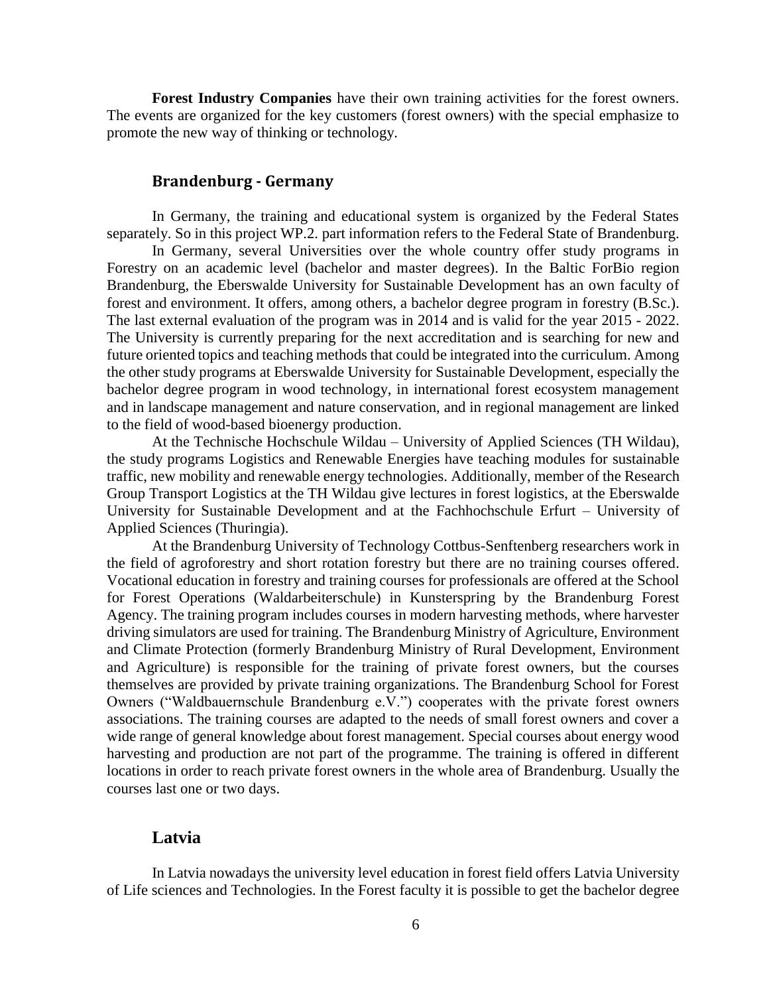**Forest Industry Companies** have their own training activities for the forest owners. The events are organized for the key customers (forest owners) with the special emphasize to promote the new way of thinking or technology.

#### **Brandenburg - Germany**

<span id="page-5-0"></span>In Germany, the training and educational system is organized by the Federal States separately. So in this project WP.2. part information refers to the Federal State of Brandenburg.

In Germany, several Universities over the whole country offer study programs in Forestry on an academic level (bachelor and master degrees). In the Baltic ForBio region Brandenburg, the Eberswalde University for Sustainable Development has an own faculty of forest and environment. It offers, among others, a bachelor degree program in forestry (B.Sc.). The last external evaluation of the program was in 2014 and is valid for the year 2015 - 2022. The University is currently preparing for the next accreditation and is searching for new and future oriented topics and teaching methods that could be integrated into the curriculum. Among the other study programs at Eberswalde University for Sustainable Development, especially the bachelor degree program in wood technology, in international forest ecosystem management and in landscape management and nature conservation, and in regional management are linked to the field of wood-based bioenergy production.

At the Technische Hochschule Wildau – University of Applied Sciences (TH Wildau), the study programs Logistics and Renewable Energies have teaching modules for sustainable traffic, new mobility and renewable energy technologies. Additionally, member of the Research Group Transport Logistics at the TH Wildau give lectures in forest logistics, at the Eberswalde University for Sustainable Development and at the Fachhochschule Erfurt – University of Applied Sciences (Thuringia).

At the Brandenburg University of Technology Cottbus-Senftenberg researchers work in the field of agroforestry and short rotation forestry but there are no training courses offered. Vocational education in forestry and training courses for professionals are offered at the School for Forest Operations (Waldarbeiterschule) in Kunsterspring by the Brandenburg Forest Agency. The training program includes courses in modern harvesting methods, where harvester driving simulators are used for training. The Brandenburg Ministry of Agriculture, Environment and Climate Protection (formerly Brandenburg Ministry of Rural Development, Environment and Agriculture) is responsible for the training of private forest owners, but the courses themselves are provided by private training organizations. The Brandenburg School for Forest Owners ("Waldbauernschule Brandenburg e.V.") cooperates with the private forest owners associations. The training courses are adapted to the needs of small forest owners and cover a wide range of general knowledge about forest management. Special courses about energy wood harvesting and production are not part of the programme. The training is offered in different locations in order to reach private forest owners in the whole area of Brandenburg. Usually the courses last one or two days.

#### <span id="page-5-1"></span>**Latvia**

In Latvia nowadays the university level education in forest field offers Latvia University of Life sciences and Technologies. In the Forest faculty it is possible to get the bachelor degree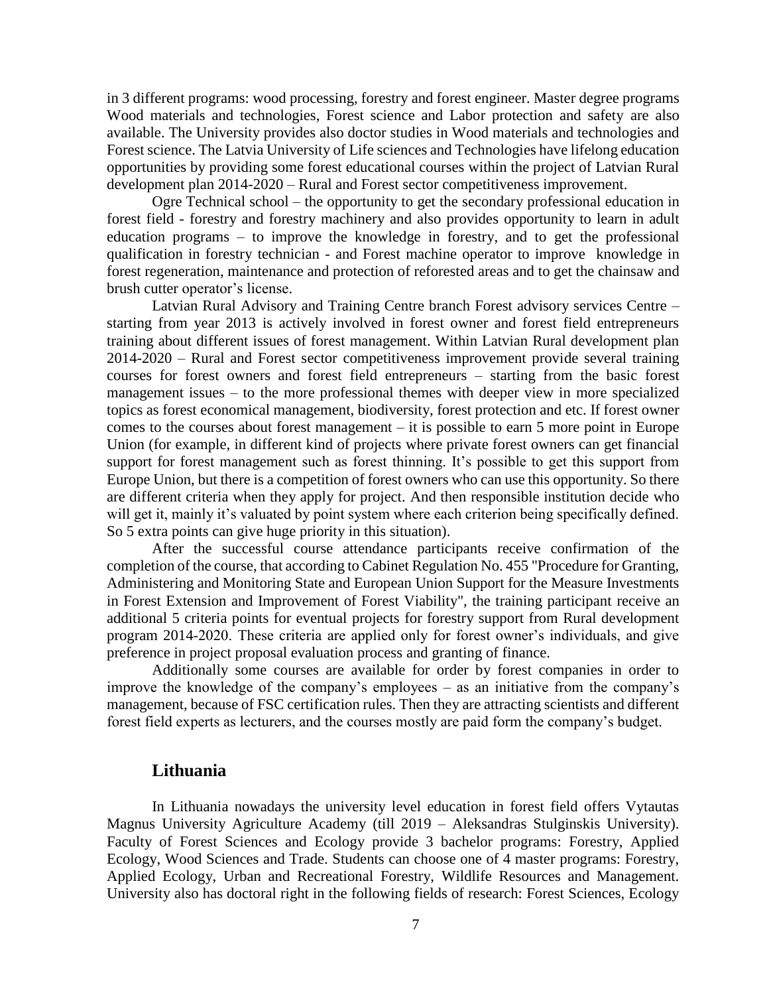in 3 different programs: wood processing, forestry and forest engineer. Master degree programs Wood materials and technologies, Forest science and Labor protection and safety are also available. The University provides also doctor studies in Wood materials and technologies and Forest science. The Latvia University of Life sciences and Technologies have lifelong education opportunities by providing some forest educational courses within the project of Latvian Rural development plan 2014-2020 – Rural and Forest sector competitiveness improvement.

Ogre Technical school – the opportunity to get the secondary professional education in forest field - forestry and forestry machinery and also provides opportunity to learn in adult education programs – to improve the knowledge in forestry, and to get the professional qualification in forestry technician - and Forest machine operator to improve knowledge in forest regeneration, maintenance and protection of reforested areas and to get the chainsaw and brush cutter operator's license.

Latvian Rural Advisory and Training Centre branch Forest advisory services Centre – starting from year 2013 is actively involved in forest owner and forest field entrepreneurs training about different issues of forest management. Within Latvian Rural development plan 2014-2020 – Rural and Forest sector competitiveness improvement provide several training courses for forest owners and forest field entrepreneurs – starting from the basic forest management issues – to the more professional themes with deeper view in more specialized topics as forest economical management, biodiversity, forest protection and etc. If forest owner comes to the courses about forest management – it is possible to earn 5 more point in Europe Union (for example, in different kind of projects where private forest owners can get financial support for forest management such as forest thinning. It's possible to get this support from Europe Union, but there is a competition of forest owners who can use this opportunity. So there are different criteria when they apply for project. And then responsible institution decide who will get it, mainly it's valuated by point system where each criterion being specifically defined. So 5 extra points can give huge priority in this situation).

After the successful course attendance participants receive confirmation of the completion of the course, that according to Cabinet Regulation No. 455 "Procedure for Granting, Administering and Monitoring State and European Union Support for the Measure Investments in Forest Extension and Improvement of Forest Viability", the training participant receive an additional 5 criteria points for eventual projects for forestry support from Rural development program 2014-2020. These criteria are applied only for forest owner's individuals, and give preference in project proposal evaluation process and granting of finance.

Additionally some courses are available for order by forest companies in order to improve the knowledge of the company's employees – as an initiative from the company's management, because of FSC certification rules. Then they are attracting scientists and different forest field experts as lecturers, and the courses mostly are paid form the company's budget.

#### <span id="page-6-0"></span>**Lithuania**

In Lithuania nowadays the university level education in forest field offers Vytautas Magnus University Agriculture Academy (till 2019 – Aleksandras Stulginskis University). Faculty of Forest Sciences and Ecology provide 3 bachelor programs: Forestry, Applied Ecology, Wood Sciences and Trade. Students can choose one of 4 master programs: Forestry, Applied Ecology, Urban and Recreational Forestry, Wildlife Resources and Management. University also has doctoral right in the following fields of research: Forest Sciences, Ecology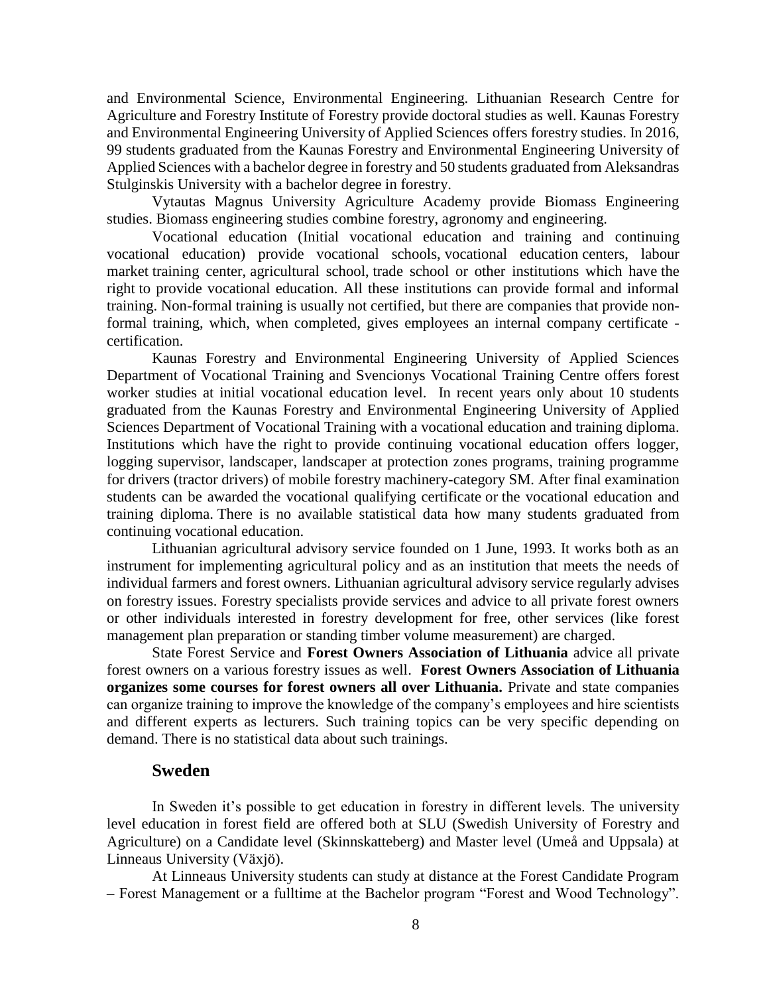and Environmental Science, Environmental Engineering. Lithuanian Research Centre for Agriculture and Forestry Institute of Forestry provide doctoral studies as well. Kaunas Forestry and Environmental Engineering University of Applied Sciences offers forestry studies. In 2016, 99 students graduated from the Kaunas Forestry and Environmental Engineering University of Applied Sciences with a bachelor degree in forestry and 50 students graduated from Aleksandras Stulginskis University with a bachelor degree in forestry.

Vytautas Magnus University Agriculture Academy provide Biomass Engineering studies. Biomass engineering studies combine forestry, agronomy and engineering.

Vocational education (Initial vocational education and training and continuing vocational education) provide vocational schools, vocational education centers, labour market training center, agricultural school, trade school or other institutions which have the right to provide vocational education. All these institutions can provide formal and informal training. Non-formal training is usually not certified, but there are companies that provide nonformal training, which, when completed, gives employees an internal company certificate certification.

Kaunas Forestry and Environmental Engineering University of Applied Sciences Department of Vocational Training and Svencionys Vocational Training Centre offers forest worker studies at initial vocational education level. In recent years only about 10 students graduated from the Kaunas Forestry and Environmental Engineering University of Applied Sciences Department of Vocational Training with a vocational education and training diploma. Institutions which have the right to provide continuing vocational education offers logger, logging supervisor, landscaper, landscaper at protection zones programs, training programme for drivers (tractor drivers) of mobile forestry machinery-category SM. After final examination students can be awarded the vocational qualifying certificate or the vocational education and training diploma. There is no available statistical data how many students graduated from continuing vocational education.

Lithuanian agricultural advisory service founded on 1 June, 1993. It works both as an instrument for implementing agricultural policy and as an institution that meets the needs of individual farmers and forest owners. Lithuanian agricultural advisory service regularly advises on forestry issues. Forestry specialists provide services and advice to all private forest owners or other individuals interested in forestry development for free, other services (like forest management plan preparation or standing timber volume measurement) are charged.

State Forest Service and **Forest Owners Association of Lithuania** advice all private forest owners on a various forestry issues as well. **Forest Owners Association of Lithuania organizes some courses for forest owners all over Lithuania.** Private and state companies can organize training to improve the knowledge of the company's employees and hire scientists and different experts as lecturers. Such training topics can be very specific depending on demand. There is no statistical data about such trainings.

#### **Sweden**

<span id="page-7-0"></span>In Sweden it's possible to get education in forestry in different levels. The university level education in forest field are offered both at SLU (Swedish University of Forestry and Agriculture) on a Candidate level (Skinnskatteberg) and Master level (Umeå and Uppsala) at Linneaus University (Växjö).

At Linneaus University students can study at distance at the Forest Candidate Program – Forest Management or a fulltime at the Bachelor program "Forest and Wood Technology".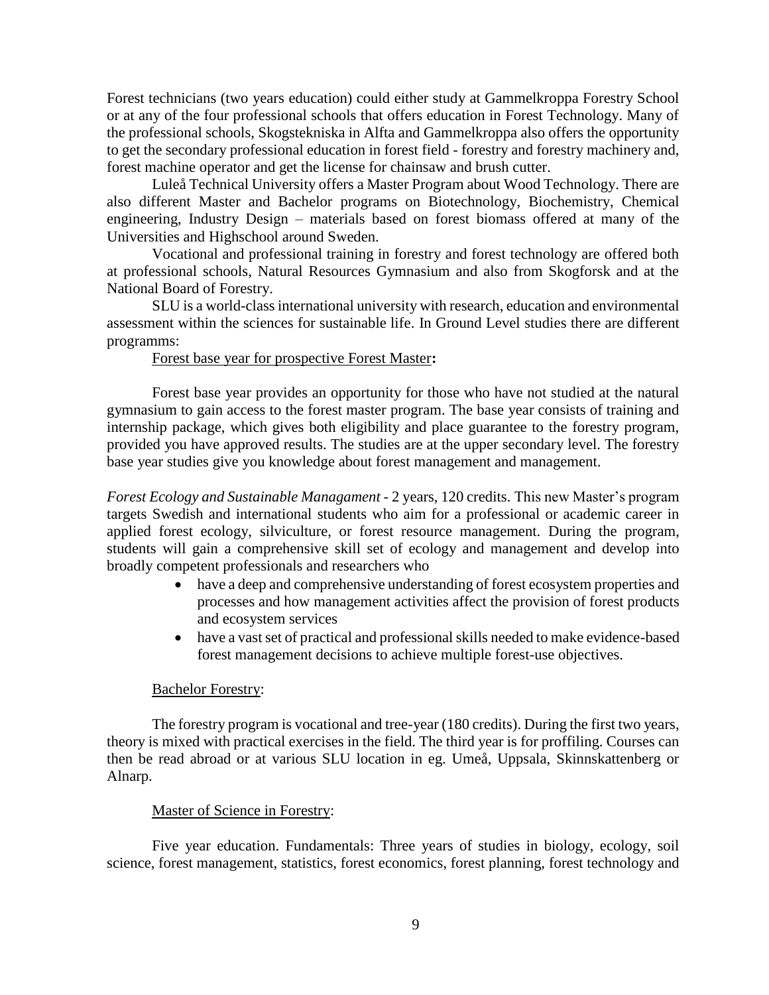Forest technicians (two years education) could either study at Gammelkroppa Forestry School or at any of the four professional schools that offers education in Forest Technology. Many of the professional schools, Skogstekniska in Alfta and Gammelkroppa also offers the opportunity to get the secondary professional education in forest field - forestry and forestry machinery and, forest machine operator and get the license for chainsaw and brush cutter.

Luleå Technical University offers a Master Program about Wood Technology. There are also different Master and Bachelor programs on Biotechnology, Biochemistry, Chemical engineering, Industry Design – materials based on forest biomass offered at many of the Universities and Highschool around Sweden.

Vocational and professional training in forestry and forest technology are offered both at professional schools, Natural Resources Gymnasium and also from Skogforsk and at the National Board of Forestry.

SLU is a world-class international university with research, education and environmental assessment within the sciences for sustainable life. In Ground Level studies there are different programms:

#### Forest base year for prospective Forest Master**:**

Forest base year provides an opportunity for those who have not studied at the natural gymnasium to gain access to the forest master program. The base year consists of training and internship package, which gives both eligibility and place guarantee to the forestry program, provided you have approved results. The studies are at the upper secondary level. The forestry base year studies give you knowledge about forest management and management.

*Forest Ecology and Sustainable Managament* - 2 years, 120 credits. This new Master's program targets Swedish and international students who aim for a professional or academic career in applied forest ecology, silviculture, or forest resource management. During the program, students will gain a comprehensive skill set of ecology and management and develop into broadly competent professionals and researchers who

- have a deep and comprehensive understanding of forest ecosystem properties and processes and how management activities affect the provision of forest products and ecosystem services
- have a vast set of practical and professional skills needed to make evidence-based forest management decisions to achieve multiple forest-use objectives.

#### Bachelor Forestry:

The forestry program is vocational and tree-year (180 credits). During the first two years, theory is mixed with practical exercises in the field. The third year is for proffiling. Courses can then be read abroad or at various SLU location in eg. Umeå, Uppsala, Skinnskattenberg or Alnarp.

#### Master of Science in Forestry:

Five year education. Fundamentals: Three years of studies in biology, ecology, soil science, forest management, statistics, forest economics, forest planning, forest technology and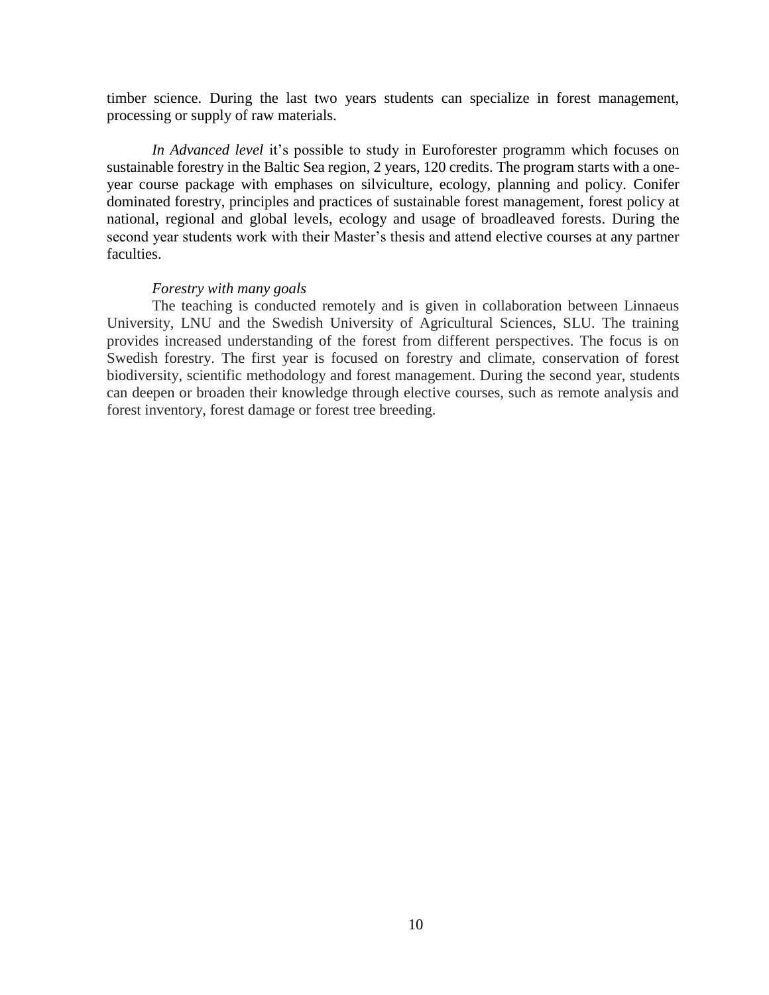timber science. During the last two years students can specialize in forest management, processing or supply of raw materials.

*In Advanced level* it's possible to study in Euroforester programm which focuses on sustainable forestry in the Baltic Sea region, 2 years, 120 credits. The program starts with a oneyear course package with emphases on silviculture, ecology, planning and policy. Conifer dominated forestry, principles and practices of sustainable forest management, forest policy at national, regional and global levels, ecology and usage of broadleaved forests. During the second year students work with their Master's thesis and attend elective courses at any partner faculties.

#### *Forestry with many goals*

The teaching is conducted remotely and is given in collaboration between Linnaeus University, LNU and the Swedish University of Agricultural Sciences, SLU. The training provides increased understanding of the forest from different perspectives. The focus is on Swedish forestry. The first year is focused on forestry and climate, conservation of forest biodiversity, scientific methodology and forest management. During the second year, students can deepen or broaden their knowledge through elective courses, such as remote analysis and forest inventory, forest damage or forest tree breeding.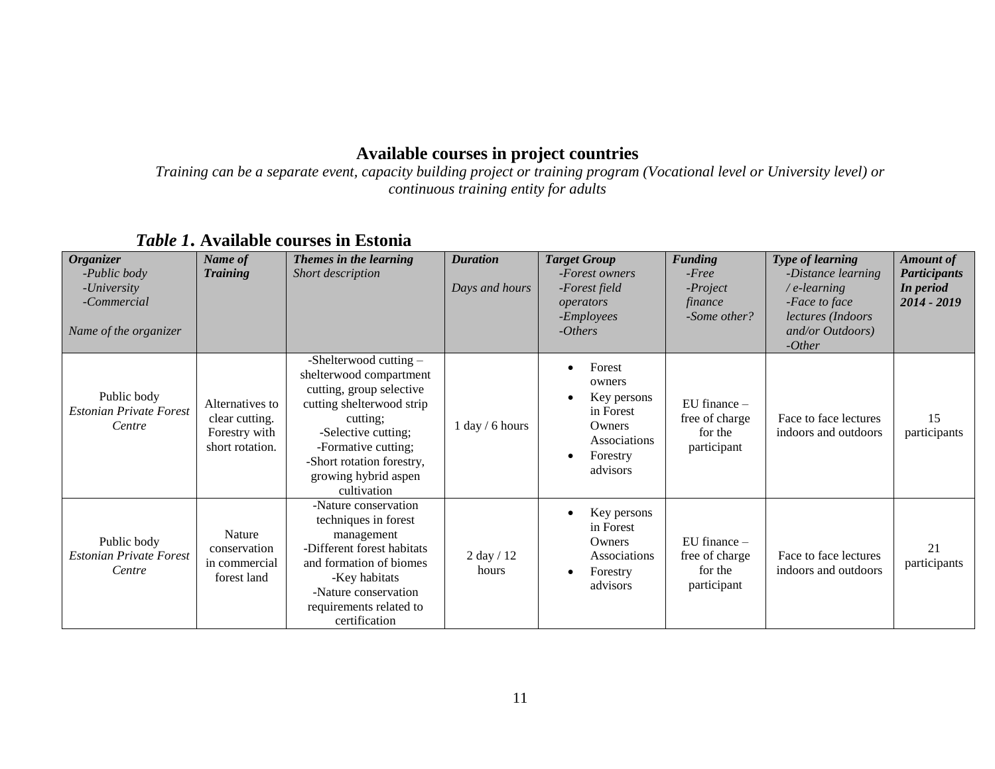# **Available courses in project countries**

*Training can be a separate event, capacity building project or training program (Vocational level or University level) or continuous training entity for adults*

<span id="page-10-1"></span><span id="page-10-0"></span>

| <b>Organizer</b><br>-Public body<br>- <i>University</i><br>-Commercial<br>Name of the organizer | Name of<br><b>Training</b>                                            | Themes in the learning<br>Short description                                                                                                                                                                                                | <b>Duration</b><br>Days and hours | <b>Target Group</b><br>-Forest owners<br>-Forest field<br>operators<br>-Employees<br>$- Others$                          | <b>Funding</b><br>$-Free$<br>$-Project$<br>finance<br>-Some other? | <b>Type of learning</b><br>-Distance learning<br>$/e$ -learning<br>-Face to face<br>lectures (Indoors<br>and/or Outdoors)<br>$-Other$ | <b>Amount of</b><br><b>Participants</b><br>In period<br>2014 - 2019 |
|-------------------------------------------------------------------------------------------------|-----------------------------------------------------------------------|--------------------------------------------------------------------------------------------------------------------------------------------------------------------------------------------------------------------------------------------|-----------------------------------|--------------------------------------------------------------------------------------------------------------------------|--------------------------------------------------------------------|---------------------------------------------------------------------------------------------------------------------------------------|---------------------------------------------------------------------|
| Public body<br><b>Estonian Private Forest</b><br>Centre                                         | Alternatives to<br>clear cutting.<br>Forestry with<br>short rotation. | -Shelterwood cutting $-$<br>shelterwood compartment<br>cutting, group selective<br>cutting shelterwood strip<br>cutting;<br>-Selective cutting;<br>-Formative cutting;<br>-Short rotation forestry,<br>growing hybrid aspen<br>cultivation | $1$ day / 6 hours                 | Forest<br>$\bullet$<br>owners<br>Key persons<br>in Forest<br>Owners<br>Associations<br>Forestry<br>$\bullet$<br>advisors | $EU$ finance $-$<br>free of charge<br>for the<br>participant       | Face to face lectures<br>indoors and outdoors                                                                                         | 15<br>participants                                                  |
| Public body<br><b>Estonian Private Forest</b><br>Centre                                         | <b>Nature</b><br>conservation<br>in commercial<br>forest land         | -Nature conservation<br>techniques in forest<br>management<br>-Different forest habitats<br>and formation of biomes<br>-Key habitats<br>-Nature conservation<br>requirements related to<br>certification                                   | $2$ day $/12$<br>hours            | Key persons<br>$\bullet$<br>in Forest<br>Owners<br>Associations<br>Forestry<br>advisors                                  | EU finance $-$<br>free of charge<br>for the<br>participant         | Face to face lectures<br>indoors and outdoors                                                                                         | 21<br>participants                                                  |

# *Table 1***. Available courses in Estonia**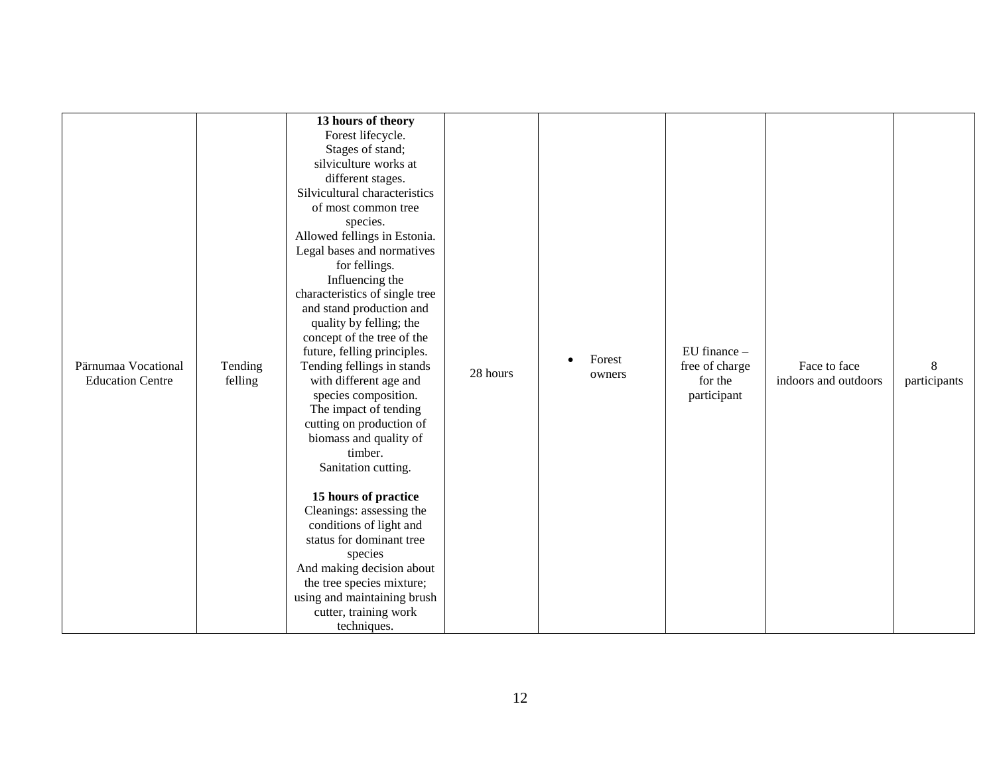| Pärnumaa Vocational<br><b>Education Centre</b> | Tending<br>felling | 13 hours of theory<br>Forest lifecycle.<br>Stages of stand;<br>silviculture works at<br>different stages.<br>Silvicultural characteristics<br>of most common tree<br>species.<br>Allowed fellings in Estonia.<br>Legal bases and normatives<br>for fellings.<br>Influencing the<br>characteristics of single tree<br>and stand production and<br>quality by felling; the<br>concept of the tree of the<br>future, felling principles.<br>Tending fellings in stands<br>with different age and<br>species composition.<br>The impact of tending<br>cutting on production of<br>biomass and quality of<br>timber.<br>Sanitation cutting.<br>15 hours of practice<br>Cleanings: assessing the<br>conditions of light and<br>status for dominant tree<br>species<br>And making decision about<br>the tree species mixture;<br>using and maintaining brush<br>cutter, training work<br>techniques. | 28 hours | Forest<br>owners | EU finance -<br>free of charge<br>for the<br>participant | Face to face<br>indoors and outdoors | 8<br>participants |
|------------------------------------------------|--------------------|-----------------------------------------------------------------------------------------------------------------------------------------------------------------------------------------------------------------------------------------------------------------------------------------------------------------------------------------------------------------------------------------------------------------------------------------------------------------------------------------------------------------------------------------------------------------------------------------------------------------------------------------------------------------------------------------------------------------------------------------------------------------------------------------------------------------------------------------------------------------------------------------------|----------|------------------|----------------------------------------------------------|--------------------------------------|-------------------|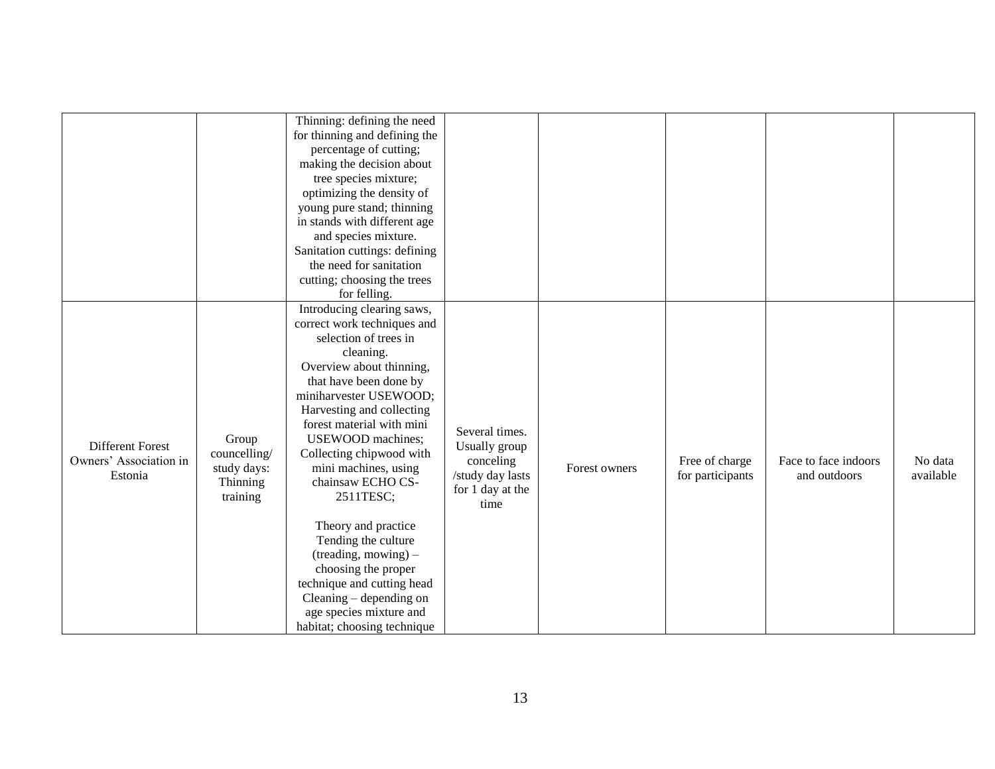|                        |              | Thinning: defining the need<br>for thinning and defining the<br>percentage of cutting;<br>making the decision about<br>tree species mixture; |                                      |               |                  |                      |           |
|------------------------|--------------|----------------------------------------------------------------------------------------------------------------------------------------------|--------------------------------------|---------------|------------------|----------------------|-----------|
|                        |              | optimizing the density of<br>young pure stand; thinning<br>in stands with different age                                                      |                                      |               |                  |                      |           |
|                        |              | and species mixture.                                                                                                                         |                                      |               |                  |                      |           |
|                        |              | Sanitation cuttings: defining                                                                                                                |                                      |               |                  |                      |           |
|                        |              | the need for sanitation                                                                                                                      |                                      |               |                  |                      |           |
|                        |              | cutting; choosing the trees                                                                                                                  |                                      |               |                  |                      |           |
|                        |              | for felling.                                                                                                                                 |                                      |               |                  |                      |           |
|                        |              | Introducing clearing saws,                                                                                                                   |                                      |               |                  |                      |           |
|                        |              | correct work techniques and                                                                                                                  |                                      |               |                  |                      |           |
|                        |              | selection of trees in                                                                                                                        |                                      |               |                  |                      |           |
|                        |              | cleaning.                                                                                                                                    |                                      |               |                  |                      |           |
|                        |              | Overview about thinning,                                                                                                                     |                                      |               |                  |                      |           |
|                        |              | that have been done by<br>miniharvester USEWOOD;                                                                                             |                                      |               |                  |                      |           |
|                        |              | Harvesting and collecting                                                                                                                    |                                      |               |                  |                      |           |
|                        |              | forest material with mini                                                                                                                    |                                      |               |                  |                      |           |
|                        | Group        | USEWOOD machines;                                                                                                                            | Several times.                       |               |                  |                      |           |
| Different Forest       | councelling/ | Collecting chipwood with                                                                                                                     | Usually group                        |               |                  |                      |           |
| Owners' Association in | study days:  | mini machines, using                                                                                                                         | conceling                            | Forest owners | Free of charge   | Face to face indoors | No data   |
| Estonia                | Thinning     | chainsaw ECHO CS-                                                                                                                            | /study day lasts<br>for 1 day at the |               | for participants | and outdoors         | available |
|                        | training     | 2511TESC;                                                                                                                                    | time                                 |               |                  |                      |           |
|                        |              |                                                                                                                                              |                                      |               |                  |                      |           |
|                        |              | Theory and practice                                                                                                                          |                                      |               |                  |                      |           |
|                        |              | Tending the culture                                                                                                                          |                                      |               |                  |                      |           |
|                        |              | (treading, mowing) -                                                                                                                         |                                      |               |                  |                      |           |
|                        |              | choosing the proper                                                                                                                          |                                      |               |                  |                      |           |
|                        |              | technique and cutting head                                                                                                                   |                                      |               |                  |                      |           |
|                        |              | Cleaning - depending on                                                                                                                      |                                      |               |                  |                      |           |
|                        |              | age species mixture and<br>habitat; choosing technique                                                                                       |                                      |               |                  |                      |           |
|                        |              |                                                                                                                                              |                                      |               |                  |                      |           |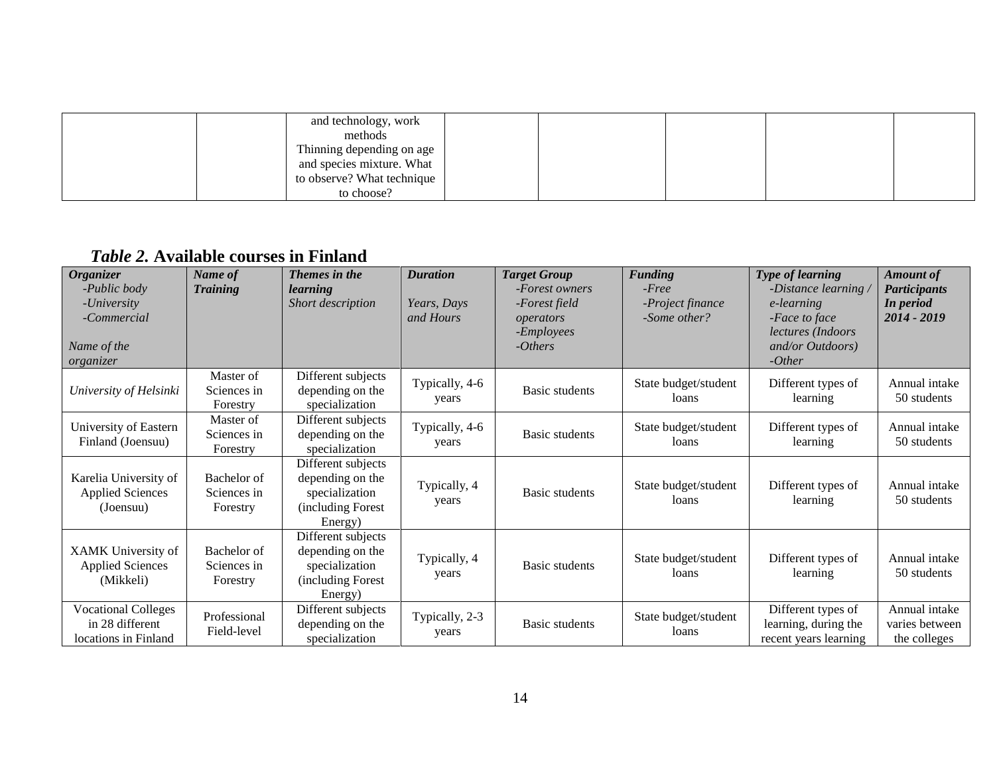| and technology, work       |  |  |  |
|----------------------------|--|--|--|
| methods                    |  |  |  |
| Thinning depending on age  |  |  |  |
| and species mixture. What  |  |  |  |
| to observe? What technique |  |  |  |
| to choose?                 |  |  |  |

# *Table 2.* **Available courses in Finland**

<span id="page-13-0"></span>

| <b>Organizer</b>           | Name of         | Themes in the      | <b>Duration</b> | <b>Target Group</b>   | <b>Funding</b>       | Type of learning              | <b>Amount of</b>    |
|----------------------------|-----------------|--------------------|-----------------|-----------------------|----------------------|-------------------------------|---------------------|
| -Public body               | <b>Training</b> | learning           |                 | -Forest owners        | $-Free$              | -Distance learning $\sqrt{ }$ | <b>Participants</b> |
| -University                |                 | Short description  | Years, Days     | -Forest field         | -Project finance     | e-learning                    | In period           |
| -Commercial                |                 |                    | and Hours       | operators             | -Some other?         | -Face to face                 | 2014 - 2019         |
|                            |                 |                    |                 | - <i>Employees</i>    |                      | lectures (Indoors             |                     |
| Name of the                |                 |                    |                 | $- Others$            |                      | and/or Outdoors)              |                     |
| organizer                  |                 |                    |                 |                       |                      | $-Other$                      |                     |
|                            | Master of       | Different subjects |                 |                       | State budget/student | Different types of            | Annual intake       |
| University of Helsinki     | Sciences in     | depending on the   | Typically, 4-6  | <b>Basic students</b> | loans                | learning                      | 50 students         |
|                            | Forestry        | specialization     | years           |                       |                      |                               |                     |
| University of Eastern      | Master of       | Different subjects | Typically, 4-6  |                       | State budget/student | Different types of            | Annual intake       |
| Finland (Joensuu)          | Sciences in     | depending on the   |                 | Basic students        | loans                | learning                      | 50 students         |
|                            | Forestry        | specialization     | years           |                       |                      |                               |                     |
|                            |                 | Different subjects |                 |                       |                      |                               |                     |
| Karelia University of      | Bachelor of     | depending on the   | Typically, 4    |                       | State budget/student | Different types of            | Annual intake       |
| <b>Applied Sciences</b>    | Sciences in     | specialization     | years           | Basic students        | loans                | learning                      | 50 students         |
| (Joensuu)                  | Forestry        | (including Forest) |                 |                       |                      |                               |                     |
|                            |                 | Energy)            |                 |                       |                      |                               |                     |
|                            |                 | Different subjects |                 |                       |                      |                               |                     |
| XAMK University of         | Bachelor of     | depending on the   | Typically, 4    |                       | State budget/student | Different types of            | Annual intake       |
| <b>Applied Sciences</b>    | Sciences in     | specialization     |                 | <b>Basic students</b> | loans                |                               | 50 students         |
| (Mikkeli)                  | Forestry        | (including Forest) | years           |                       |                      | learning                      |                     |
|                            |                 | Energy)            |                 |                       |                      |                               |                     |
| <b>Vocational Colleges</b> | Professional    | Different subjects |                 |                       |                      | Different types of            | Annual intake       |
| in 28 different            |                 | depending on the   | Typically, 2-3  | Basic students        | State budget/student | learning, during the          | varies between      |
| locations in Finland       | Field-level     | specialization     | years           |                       | loans                | recent years learning         | the colleges        |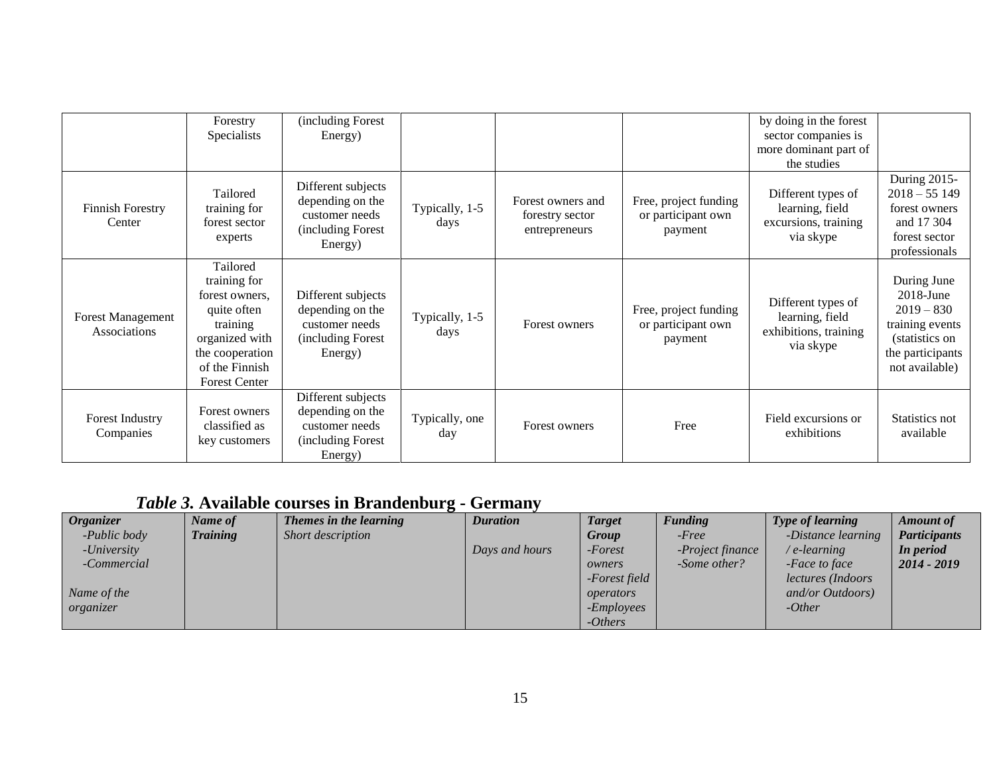|                                          | Forestry<br>Specialists                                                                                                                              | (including Forest<br>Energy)                                                              |                        |                                                       |                                                        | by doing in the forest<br>sector companies is                               |                                                                                                                        |
|------------------------------------------|------------------------------------------------------------------------------------------------------------------------------------------------------|-------------------------------------------------------------------------------------------|------------------------|-------------------------------------------------------|--------------------------------------------------------|-----------------------------------------------------------------------------|------------------------------------------------------------------------------------------------------------------------|
|                                          |                                                                                                                                                      |                                                                                           |                        |                                                       |                                                        | more dominant part of<br>the studies                                        |                                                                                                                        |
| <b>Finnish Forestry</b><br>Center        | Tailored<br>training for<br>forest sector<br>experts                                                                                                 | Different subjects<br>depending on the<br>customer needs<br>(including Forest<br>Energy)  | Typically, 1-5<br>days | Forest owners and<br>forestry sector<br>entrepreneurs | Free, project funding<br>or participant own<br>payment | Different types of<br>learning, field<br>excursions, training<br>via skype  | During 2015-<br>$2018 - 55149$<br>forest owners<br>and 17 304<br>forest sector<br>professionals                        |
| <b>Forest Management</b><br>Associations | Tailored<br>training for<br>forest owners.<br>quite often<br>training<br>organized with<br>the cooperation<br>of the Finnish<br><b>Forest Center</b> | Different subjects<br>depending on the<br>customer needs<br>(including Forest)<br>Energy) | Typically, 1-5<br>days | Forest owners                                         | Free, project funding<br>or participant own<br>payment | Different types of<br>learning, field<br>exhibitions, training<br>via skype | During June<br>$2018$ -June<br>$2019 - 830$<br>training events<br>(statistics on<br>the participants<br>not available) |
| Forest Industry<br>Companies             | Forest owners<br>classified as<br>key customers                                                                                                      | Different subjects<br>depending on the<br>customer needs<br>including Forest)<br>Energy)  | Typically, one<br>day  | Forest owners                                         | Free                                                   | Field excursions or<br>exhibitions                                          | Statistics not<br>available                                                                                            |

# *Table 3.* **Available courses in Brandenburg - Germany**

<span id="page-14-0"></span>

| <i><b>Organizer</b></i> | Name of         | Themes in the learning | <b>Duration</b> | <b>Target</b>      | <b>Funding</b>   | <b>Type of learning</b> | <b>Amount</b> of    |
|-------------------------|-----------------|------------------------|-----------------|--------------------|------------------|-------------------------|---------------------|
| -Public body            | <b>Training</b> | Short description      |                 | Group              | $-Free$          | -Distance learning      | <b>Participants</b> |
| -University             |                 |                        | Days and hours  | -Forest            | -Project finance | e-learning              | In period           |
| -Commercial             |                 |                        |                 | owners             | -Some other?     | -Face to face           | 2014 - 2019         |
|                         |                 |                        |                 | -Forest field      |                  | lectures (Indoors       |                     |
| Name of the             |                 |                        |                 | operators          |                  | and/or Outdoors)        |                     |
| organizer               |                 |                        |                 | - <i>Employees</i> |                  | $-Other$                |                     |
|                         |                 |                        |                 | $- Others$         |                  |                         |                     |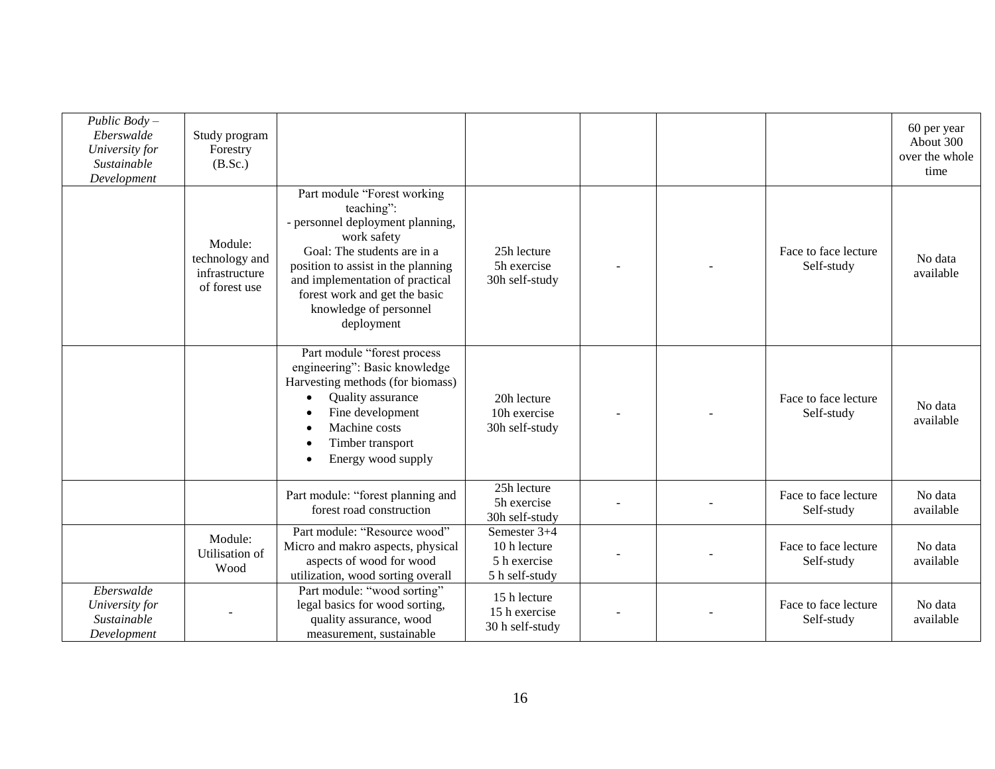| Public $Body -$<br>Eberswalde<br>University for<br>Sustainable<br>Development | Study program<br>Forestry<br>(B.Sc.)                         |                                                                                                                                                                                                                                                                               |                                                                |  |                                    | 60 per year<br>About 300<br>over the whole<br>time |
|-------------------------------------------------------------------------------|--------------------------------------------------------------|-------------------------------------------------------------------------------------------------------------------------------------------------------------------------------------------------------------------------------------------------------------------------------|----------------------------------------------------------------|--|------------------------------------|----------------------------------------------------|
|                                                                               | Module:<br>technology and<br>infrastructure<br>of forest use | Part module "Forest working<br>teaching":<br>- personnel deployment planning,<br>work safety<br>Goal: The students are in a<br>position to assist in the planning<br>and implementation of practical<br>forest work and get the basic<br>knowledge of personnel<br>deployment | 25h lecture<br>5h exercise<br>30h self-study                   |  | Face to face lecture<br>Self-study | No data<br>available                               |
|                                                                               |                                                              | Part module "forest process<br>engineering": Basic knowledge<br>Harvesting methods (for biomass)<br>Quality assurance<br>Fine development<br>Machine costs<br>Timber transport<br>Energy wood supply                                                                          | 20h lecture<br>10h exercise<br>30h self-study                  |  | Face to face lecture<br>Self-study | No data<br>available                               |
|                                                                               |                                                              | Part module: "forest planning and<br>forest road construction                                                                                                                                                                                                                 | 25h lecture<br>5h exercise<br>30h self-study                   |  | Face to face lecture<br>Self-study | No data<br>available                               |
|                                                                               | Module:<br>Utilisation of<br>Wood                            | Part module: "Resource wood"<br>Micro and makro aspects, physical<br>aspects of wood for wood<br>utilization, wood sorting overall                                                                                                                                            | Semester 3+4<br>10 h lecture<br>5 h exercise<br>5 h self-study |  | Face to face lecture<br>Self-study | No data<br>available                               |
| Eberswalde<br>University for<br>Sustainable<br>Development                    |                                                              | Part module: "wood sorting"<br>legal basics for wood sorting,<br>quality assurance, wood<br>measurement, sustainable                                                                                                                                                          | 15 h lecture<br>15 h exercise<br>30 h self-study               |  | Face to face lecture<br>Self-study | No data<br>available                               |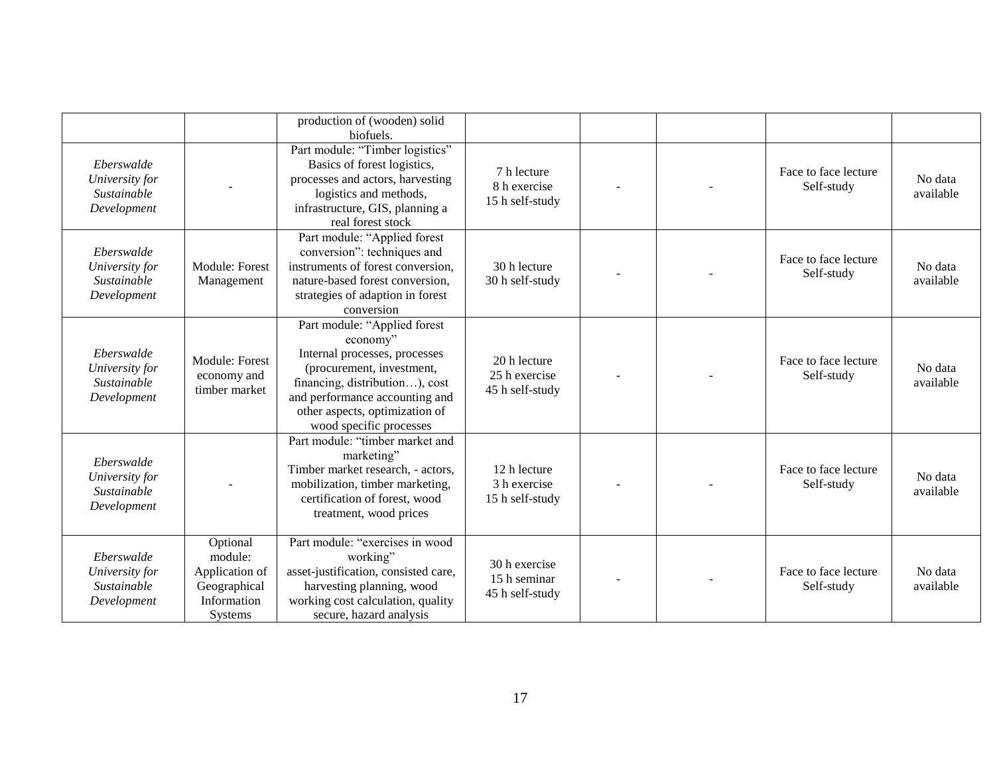|                                                            |                                                                                 | production of (wooden) solid<br>biofuels.                                                                                                                                                                                               |                                                  |  |                                    |                      |
|------------------------------------------------------------|---------------------------------------------------------------------------------|-----------------------------------------------------------------------------------------------------------------------------------------------------------------------------------------------------------------------------------------|--------------------------------------------------|--|------------------------------------|----------------------|
| Eberswalde<br>University for<br>Sustainable<br>Development |                                                                                 | Part module: "Timber logistics"<br>Basics of forest logistics,<br>processes and actors, harvesting<br>logistics and methods,<br>infrastructure, GIS, planning a<br>real forest stock                                                    | 7 h lecture<br>8 h exercise<br>15 h self-study   |  | Face to face lecture<br>Self-study | No data<br>available |
| Eberswalde<br>University for<br>Sustainable<br>Development | Module: Forest<br>Management                                                    | Part module: "Applied forest<br>conversion": techniques and<br>instruments of forest conversion,<br>nature-based forest conversion,<br>strategies of adaption in forest<br>conversion                                                   | 30 h lecture<br>30 h self-study                  |  | Face to face lecture<br>Self-study | No data<br>available |
| Eberswalde<br>University for<br>Sustainable<br>Development | <b>Module: Forest</b><br>economy and<br>timber market                           | Part module: "Applied forest<br>economy"<br>Internal processes, processes<br>(procurement, investment,<br>financing, distribution), cost<br>and performance accounting and<br>other aspects, optimization of<br>wood specific processes | 20 h lecture<br>25 h exercise<br>45 h self-study |  | Face to face lecture<br>Self-study | No data<br>available |
| Eberswalde<br>University for<br>Sustainable<br>Development |                                                                                 | Part module: "timber market and<br>marketing"<br>Timber market research, - actors,<br>mobilization, timber marketing,<br>certification of forest, wood<br>treatment, wood prices                                                        | 12 h lecture<br>3 h exercise<br>15 h self-study  |  | Face to face lecture<br>Self-study | No data<br>available |
| Eberswalde<br>University for<br>Sustainable<br>Development | Optional<br>module:<br>Application of<br>Geographical<br>Information<br>Systems | Part module: "exercises in wood<br>working"<br>asset-justification, consisted care,<br>harvesting planning, wood<br>working cost calculation, quality<br>secure, hazard analysis                                                        | 30 h exercise<br>15 h seminar<br>45 h self-study |  | Face to face lecture<br>Self-study | No data<br>available |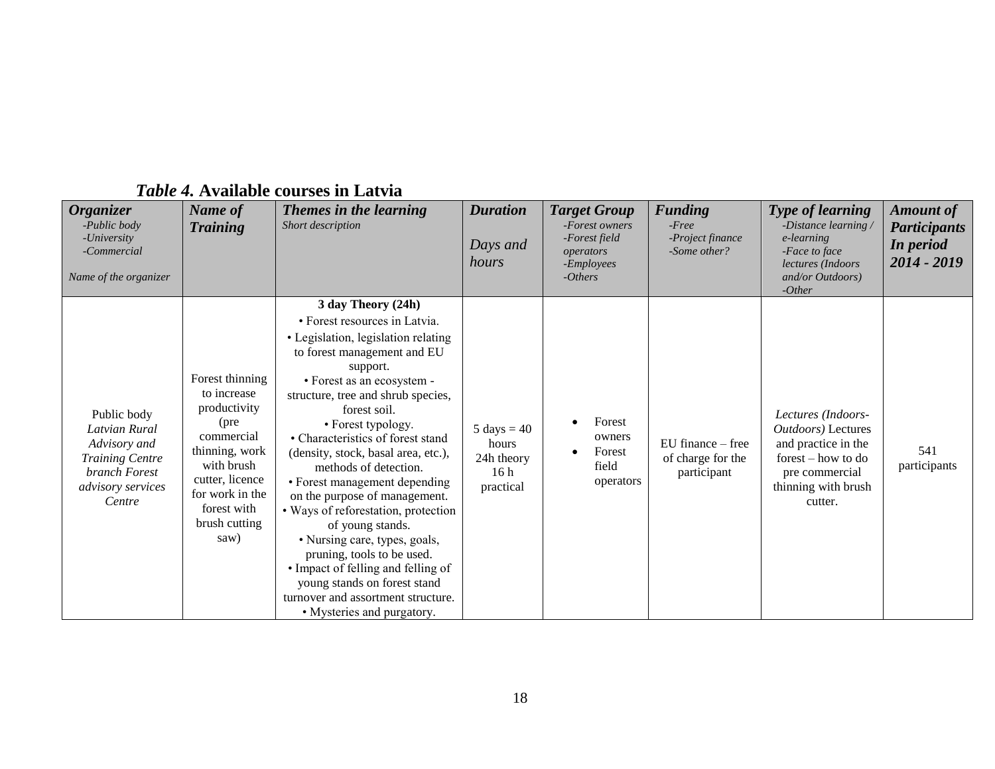<span id="page-17-0"></span>

| <b>Organizer</b><br>-Public body<br>-University<br>-Commercial<br>Name of the organizer                                | Name of<br><b>Training</b>                                                                                                                                                         | Themes in the learning<br>Short description                                                                                                                                                                                                                                                                                                                                                                                                                                                                                                                                                                                                                                                | <b>Duration</b><br>Days and<br>hours                                         | <b>Target Group</b><br>-Forest owners<br>-Forest field<br>operators<br>- <i>Employees</i><br>$- Others$ | <b>Funding</b><br>$-Free$<br>-Project finance<br>-Some other? | <b>Type of learning</b><br>-Distance learning<br>e-learning<br>-Face to face<br>lectures (Indoors<br>and/or Outdoors)<br>$-Other$         | <b>Amount of</b><br><b>Participants</b><br>In period<br>2014 - 2019 |
|------------------------------------------------------------------------------------------------------------------------|------------------------------------------------------------------------------------------------------------------------------------------------------------------------------------|--------------------------------------------------------------------------------------------------------------------------------------------------------------------------------------------------------------------------------------------------------------------------------------------------------------------------------------------------------------------------------------------------------------------------------------------------------------------------------------------------------------------------------------------------------------------------------------------------------------------------------------------------------------------------------------------|------------------------------------------------------------------------------|---------------------------------------------------------------------------------------------------------|---------------------------------------------------------------|-------------------------------------------------------------------------------------------------------------------------------------------|---------------------------------------------------------------------|
| Public body<br>Latvian Rural<br>Advisory and<br><b>Training Centre</b><br>branch Forest<br>advisory services<br>Centre | Forest thinning<br>to increase<br>productivity<br>(pre<br>commercial<br>thinning, work<br>with brush<br>cutter, licence<br>for work in the<br>forest with<br>brush cutting<br>saw) | 3 day Theory (24h)<br>• Forest resources in Latvia.<br>• Legislation, legislation relating<br>to forest management and EU<br>support.<br>• Forest as an ecosystem -<br>structure, tree and shrub species,<br>forest soil.<br>• Forest typology.<br>• Characteristics of forest stand<br>(density, stock, basal area, etc.),<br>methods of detection.<br>• Forest management depending<br>on the purpose of management.<br>· Ways of reforestation, protection<br>of young stands.<br>• Nursing care, types, goals,<br>pruning, tools to be used.<br>• Impact of felling and felling of<br>young stands on forest stand<br>turnover and assortment structure.<br>• Mysteries and purgatory. | $5 \text{ days} = 40$<br>hours<br>24h theory<br>16 <sub>h</sub><br>practical | Forest<br>owners<br>Forest<br>field<br>operators                                                        | $EU$ finance $-$ free<br>of charge for the<br>participant     | Lectures (Indoors-<br>Outdoors) Lectures<br>and practice in the<br>forest – how to do<br>pre commercial<br>thinning with brush<br>cutter. | 541<br>participants                                                 |

# *Table 4.* **Available courses in Latvia**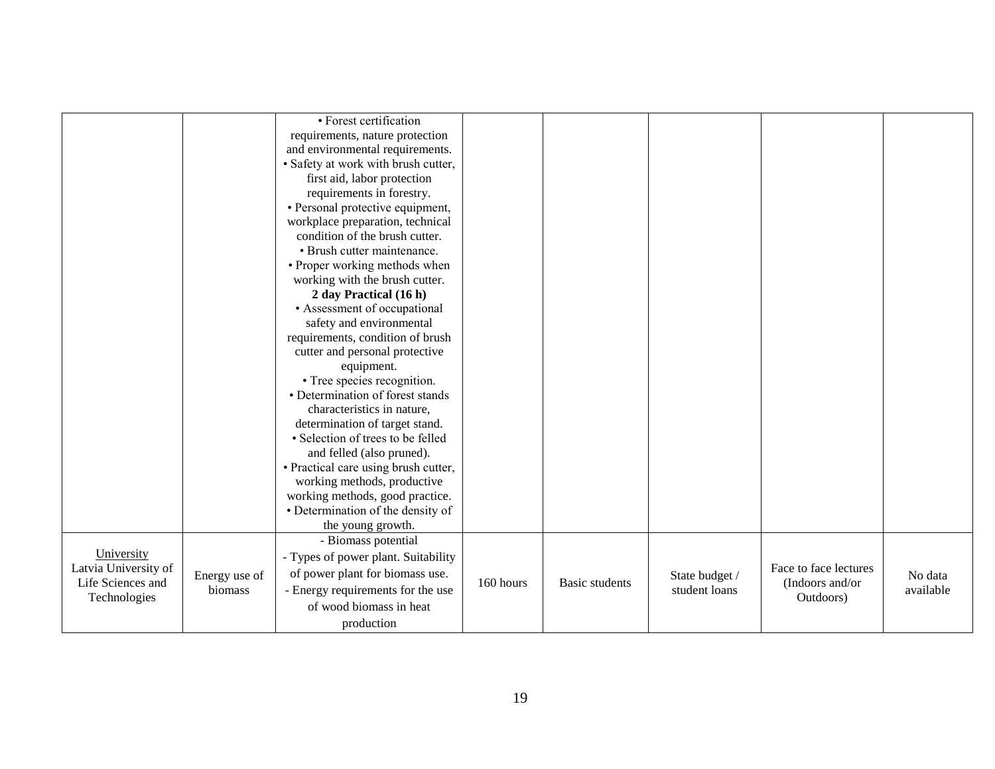|                      |               | • Forest certification               |           |                       |                |                       |           |
|----------------------|---------------|--------------------------------------|-----------|-----------------------|----------------|-----------------------|-----------|
|                      |               | requirements, nature protection      |           |                       |                |                       |           |
|                      |               | and environmental requirements.      |           |                       |                |                       |           |
|                      |               | · Safety at work with brush cutter,  |           |                       |                |                       |           |
|                      |               | first aid, labor protection          |           |                       |                |                       |           |
|                      |               | requirements in forestry.            |           |                       |                |                       |           |
|                      |               | • Personal protective equipment,     |           |                       |                |                       |           |
|                      |               | workplace preparation, technical     |           |                       |                |                       |           |
|                      |               | condition of the brush cutter.       |           |                       |                |                       |           |
|                      |               | • Brush cutter maintenance.          |           |                       |                |                       |           |
|                      |               | • Proper working methods when        |           |                       |                |                       |           |
|                      |               | working with the brush cutter.       |           |                       |                |                       |           |
|                      |               | 2 day Practical (16 h)               |           |                       |                |                       |           |
|                      |               | • Assessment of occupational         |           |                       |                |                       |           |
|                      |               | safety and environmental             |           |                       |                |                       |           |
|                      |               | requirements, condition of brush     |           |                       |                |                       |           |
|                      |               | cutter and personal protective       |           |                       |                |                       |           |
|                      |               | equipment.                           |           |                       |                |                       |           |
|                      |               | • Tree species recognition.          |           |                       |                |                       |           |
|                      |               | • Determination of forest stands     |           |                       |                |                       |           |
|                      |               | characteristics in nature,           |           |                       |                |                       |           |
|                      |               | determination of target stand.       |           |                       |                |                       |           |
|                      |               | · Selection of trees to be felled    |           |                       |                |                       |           |
|                      |               | and felled (also pruned).            |           |                       |                |                       |           |
|                      |               | • Practical care using brush cutter, |           |                       |                |                       |           |
|                      |               | working methods, productive          |           |                       |                |                       |           |
|                      |               | working methods, good practice.      |           |                       |                |                       |           |
|                      |               | • Determination of the density of    |           |                       |                |                       |           |
|                      |               | the young growth.                    |           |                       |                |                       |           |
|                      |               | - Biomass potential                  |           |                       |                |                       |           |
| University           |               | - Types of power plant. Suitability  |           |                       |                |                       |           |
| Latvia University of | Energy use of | of power plant for biomass use.      |           |                       | State budget / | Face to face lectures | No data   |
| Life Sciences and    | biomass       | - Energy requirements for the use    | 160 hours | <b>Basic students</b> | student loans  | (Indoors and/or       | available |
| Technologies         |               | of wood biomass in heat              |           |                       |                | Outdoors)             |           |
|                      |               | production                           |           |                       |                |                       |           |
|                      |               |                                      |           |                       |                |                       |           |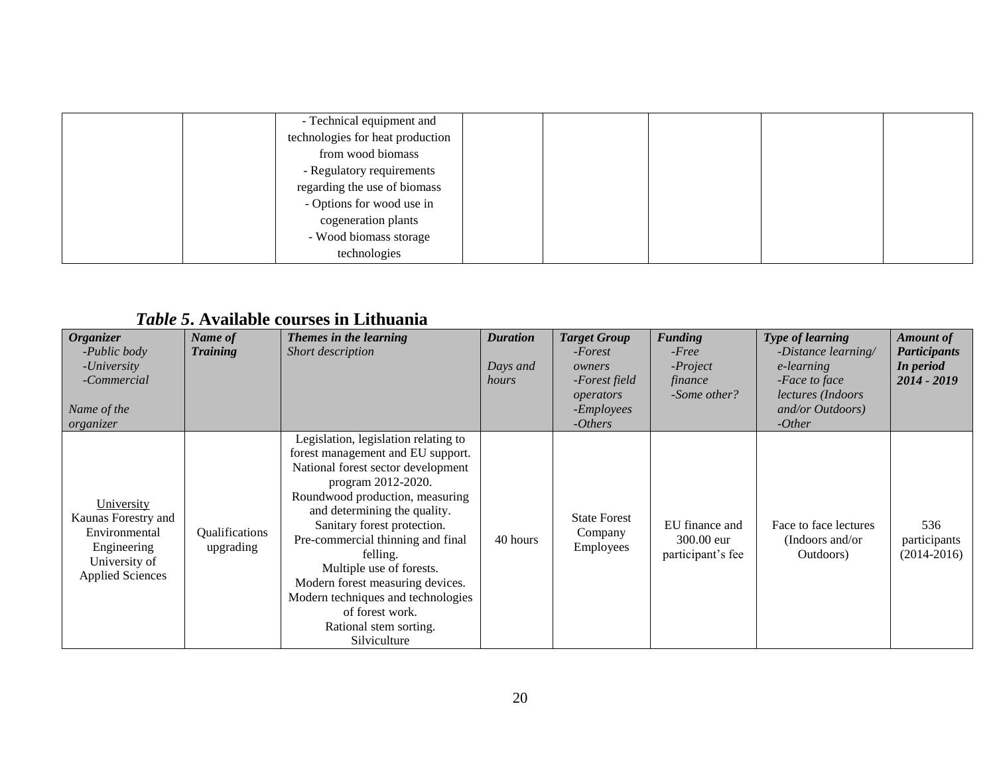| - Technical equipment and        |  |  |
|----------------------------------|--|--|
| technologies for heat production |  |  |
| from wood biomass                |  |  |
| - Regulatory requirements        |  |  |
| regarding the use of biomass     |  |  |
| - Options for wood use in        |  |  |
| cogeneration plants              |  |  |
| - Wood biomass storage           |  |  |
| technologies                     |  |  |

# *Table 5***. Available courses in Lithuania**

<span id="page-19-0"></span>

| <b>Organizer</b><br>-Public body<br>-University<br>-Commercial<br>Name of the<br>organizer                    | Name of<br><b>Training</b>  | Themes in the learning<br>Short description                                                                                                                                                                                                                                                                                                                                                                                                                 | <b>Duration</b><br>Days and<br>hours | <b>Target Group</b><br>-Forest<br>owners<br>-Forest field<br>operators<br>-Employees<br>$-Others$ | <b>Funding</b><br>$-Free$<br>$-Project$<br>finance<br>-Some other? | Type of learning<br>$-Distance$ learning/<br>e-learning<br>-Face to face<br><i>lectures</i> ( <i>Indoors</i><br>and/or Outdoors)<br>$-Other$ | <b>Amount of</b><br><b>Participants</b><br>In period<br>2014 - 2019 |
|---------------------------------------------------------------------------------------------------------------|-----------------------------|-------------------------------------------------------------------------------------------------------------------------------------------------------------------------------------------------------------------------------------------------------------------------------------------------------------------------------------------------------------------------------------------------------------------------------------------------------------|--------------------------------------|---------------------------------------------------------------------------------------------------|--------------------------------------------------------------------|----------------------------------------------------------------------------------------------------------------------------------------------|---------------------------------------------------------------------|
| University<br>Kaunas Forestry and<br>Environmental<br>Engineering<br>University of<br><b>Applied Sciences</b> | Qualifications<br>upgrading | Legislation, legislation relating to<br>forest management and EU support.<br>National forest sector development<br>program 2012-2020.<br>Roundwood production, measuring<br>and determining the quality.<br>Sanitary forest protection.<br>Pre-commercial thinning and final<br>felling.<br>Multiple use of forests.<br>Modern forest measuring devices.<br>Modern techniques and technologies<br>of forest work.<br>Rational stem sorting.<br>Silviculture | 40 hours                             | <b>State Forest</b><br>Company<br>Employees                                                       | EU finance and<br>300.00 eur<br>participant's fee                  | Face to face lectures<br>(Indoors and/or)<br>Outdoors)                                                                                       | 536<br>participants<br>$(2014-2016)$                                |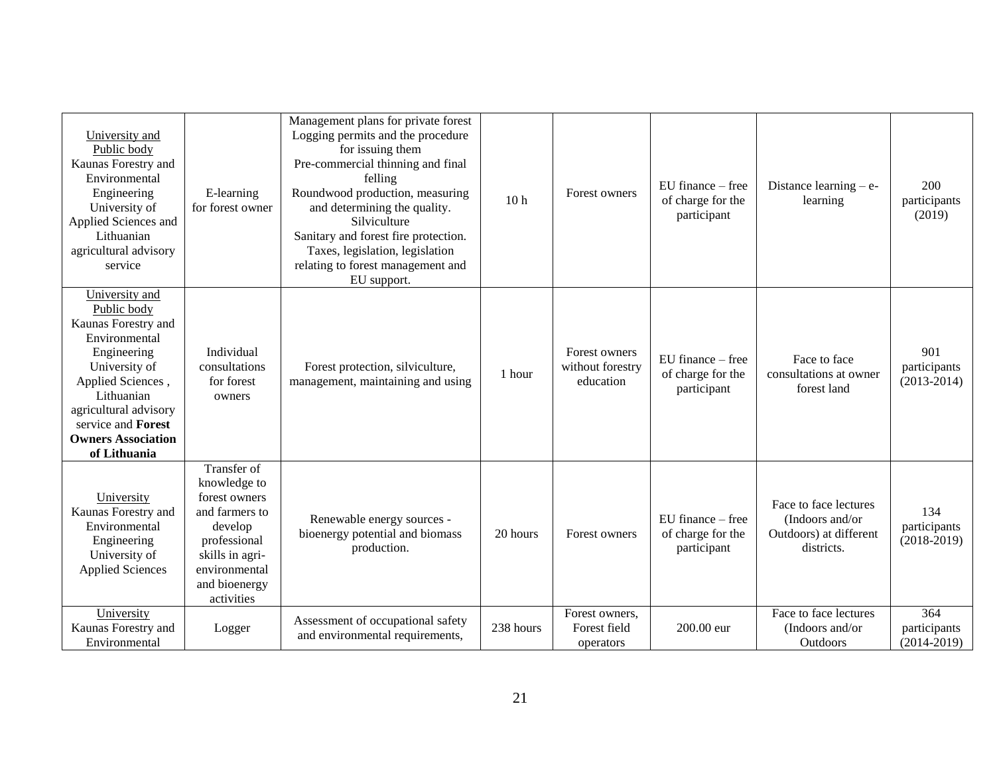| University and<br>Public body<br>Kaunas Forestry and<br>Environmental<br>Engineering<br>University of<br>Applied Sciences and<br>Lithuanian<br>agricultural advisory<br>service                                                             | E-learning<br>for forest owner                                                                                                                               | Management plans for private forest<br>Logging permits and the procedure<br>for issuing them<br>Pre-commercial thinning and final<br>felling<br>Roundwood production, measuring<br>and determining the quality.<br>Silviculture<br>Sanitary and forest fire protection.<br>Taxes, legislation, legislation<br>relating to forest management and<br>EU support. | 10 <sub>h</sub> | Forest owners                                  | $E$ U finance – free<br>of charge for the<br>participant  | Distance learning $-$ e-<br>learning                                             | 200<br>participants<br>(2019)          |
|---------------------------------------------------------------------------------------------------------------------------------------------------------------------------------------------------------------------------------------------|--------------------------------------------------------------------------------------------------------------------------------------------------------------|----------------------------------------------------------------------------------------------------------------------------------------------------------------------------------------------------------------------------------------------------------------------------------------------------------------------------------------------------------------|-----------------|------------------------------------------------|-----------------------------------------------------------|----------------------------------------------------------------------------------|----------------------------------------|
| University and<br>Public body<br>Kaunas Forestry and<br>Environmental<br>Engineering<br>University of<br>Applied Sciences,<br>Lithuanian<br>agricultural advisory<br>service and <b>Forest</b><br><b>Owners Association</b><br>of Lithuania | Individual<br>consultations<br>for forest<br>owners                                                                                                          | Forest protection, silviculture,<br>management, maintaining and using                                                                                                                                                                                                                                                                                          | 1 hour          | Forest owners<br>without forestry<br>education | $EU$ finance $-$ free<br>of charge for the<br>participant | Face to face<br>consultations at owner<br>forest land                            | 901<br>participants<br>$(2013 - 2014)$ |
| University<br>Kaunas Forestry and<br>Environmental<br>Engineering<br>University of<br><b>Applied Sciences</b>                                                                                                                               | Transfer of<br>knowledge to<br>forest owners<br>and farmers to<br>develop<br>professional<br>skills in agri-<br>environmental<br>and bioenergy<br>activities | Renewable energy sources -<br>bioenergy potential and biomass<br>production.                                                                                                                                                                                                                                                                                   | 20 hours        | Forest owners                                  | $EU$ finance $-$ free<br>of charge for the<br>participant | Face to face lectures<br>(Indoors and/or<br>Outdoors) at different<br>districts. | 134<br>participants<br>$(2018-2019)$   |
| University<br>Kaunas Forestry and<br>Environmental                                                                                                                                                                                          | Logger                                                                                                                                                       | Assessment of occupational safety<br>and environmental requirements,                                                                                                                                                                                                                                                                                           | 238 hours       | Forest owners,<br>Forest field<br>operators    | 200.00 eur                                                | Face to face lectures<br>(Indoors and/or<br>Outdoors                             | 364<br>participants<br>$(2014 - 2019)$ |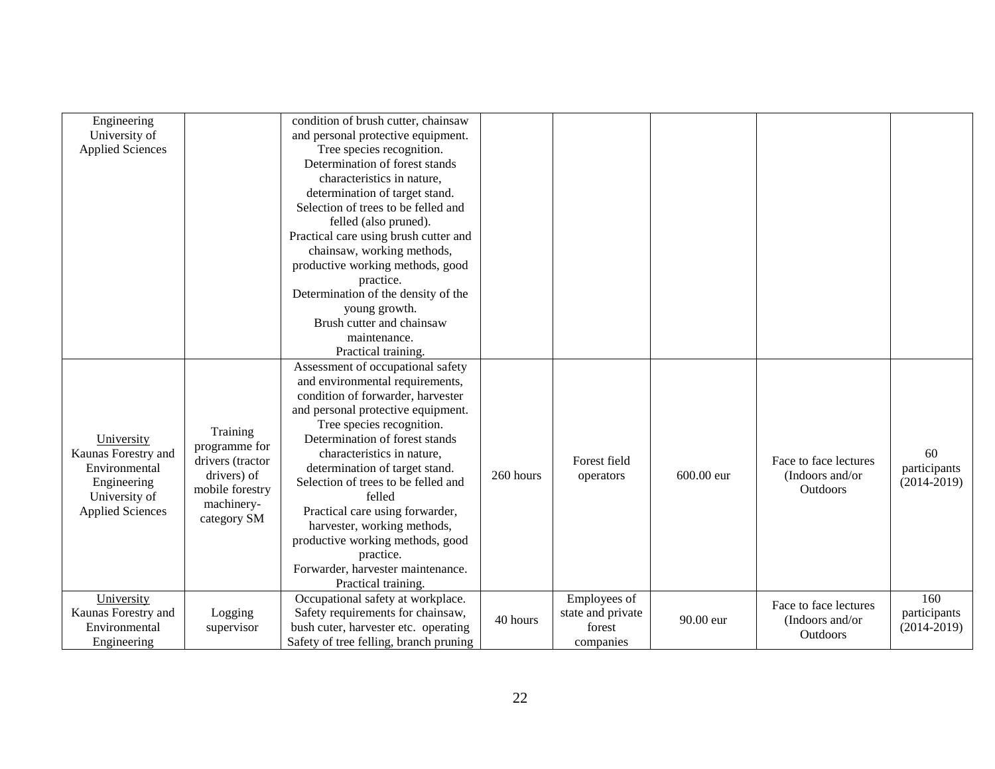| Engineering<br>condition of brush cutter, chainsaw                                                                            |                 |
|-------------------------------------------------------------------------------------------------------------------------------|-----------------|
| University of<br>and personal protective equipment.                                                                           |                 |
| <b>Applied Sciences</b><br>Tree species recognition.                                                                          |                 |
| Determination of forest stands                                                                                                |                 |
| characteristics in nature,                                                                                                    |                 |
| determination of target stand.                                                                                                |                 |
| Selection of trees to be felled and                                                                                           |                 |
| felled (also pruned).                                                                                                         |                 |
| Practical care using brush cutter and                                                                                         |                 |
| chainsaw, working methods,                                                                                                    |                 |
| productive working methods, good                                                                                              |                 |
| practice.                                                                                                                     |                 |
| Determination of the density of the                                                                                           |                 |
| young growth.                                                                                                                 |                 |
| Brush cutter and chainsaw                                                                                                     |                 |
| maintenance.                                                                                                                  |                 |
| Practical training.                                                                                                           |                 |
| Assessment of occupational safety                                                                                             |                 |
| and environmental requirements,                                                                                               |                 |
| condition of forwarder, harvester                                                                                             |                 |
| and personal protective equipment.                                                                                            |                 |
| Tree species recognition.                                                                                                     |                 |
| Training<br>Determination of forest stands<br>University                                                                      |                 |
| programme for<br>Kaunas Forestry and<br>characteristics in nature,                                                            | 60              |
| drivers (tractor<br>Forest field<br>Face to face lectures<br>Environmental<br>determination of target stand.                  | participants    |
| 260 hours<br>600.00 eur<br>drivers) of<br>(Indoors and/or)<br>operators<br>Selection of trees to be felled and<br>Engineering | $(2014 - 2019)$ |
| Outdoors<br>mobile forestry<br>University of<br>felled                                                                        |                 |
| machinery-<br>Practical care using forwarder,<br><b>Applied Sciences</b>                                                      |                 |
| category SM<br>harvester, working methods,                                                                                    |                 |
| productive working methods, good                                                                                              |                 |
| practice.                                                                                                                     |                 |
| Forwarder, harvester maintenance.                                                                                             |                 |
| Practical training.                                                                                                           |                 |
| Occupational safety at workplace.<br>Employees of<br>University                                                               | 160             |
| Face to face lectures<br>Safety requirements for chainsaw,<br>Kaunas Forestry and<br>state and private<br>Logging             | participants    |
| 40 hours<br>90.00 eur<br>(Indoors and/or<br>bush cuter, harvester etc. operating<br>Environmental<br>forest<br>supervisor     | $(2014 - 2019)$ |
| <b>Outdoors</b><br>Safety of tree felling, branch pruning<br>Engineering<br>companies                                         |                 |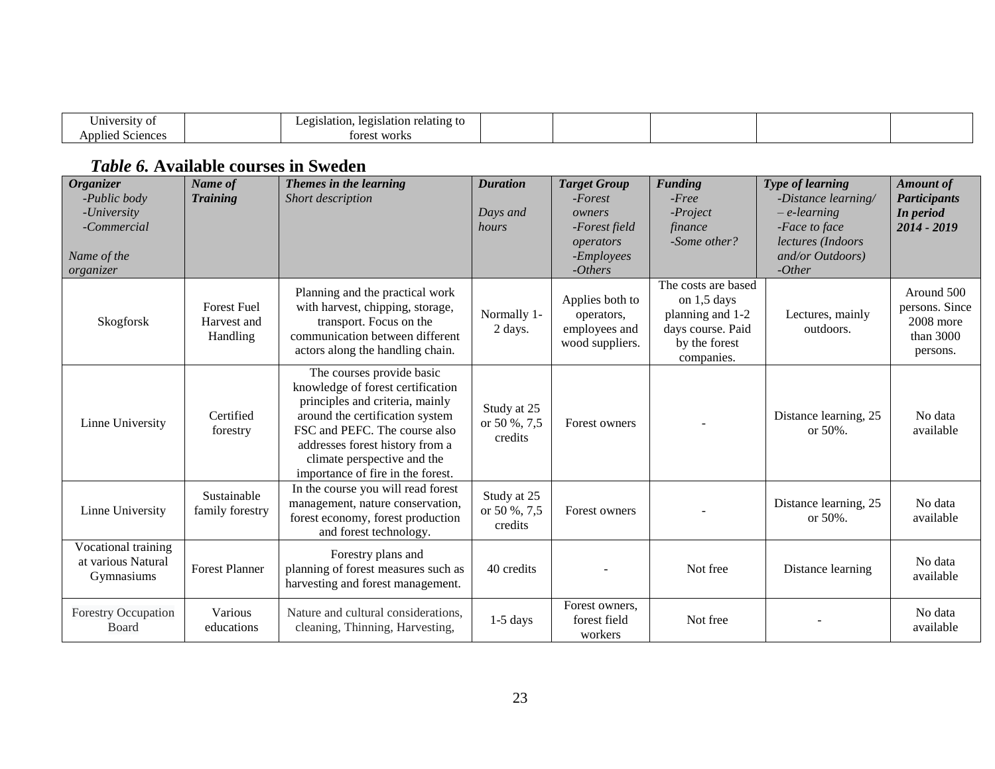| University<br>,,,                                     | ation relating to<br>legists<br>ాtslation.<br>~~<br>1C.Y<br>-<br>-- |  |  |  |
|-------------------------------------------------------|---------------------------------------------------------------------|--|--|--|
| $\cdot$ $\cdot$<br>`nnlie∩−<br>Satongos<br>- 11 U U V | est works<br>tore.                                                  |  |  |  |

# *Table 6.* **Available courses in Sweden**

<span id="page-22-0"></span>

| <b>Organizer</b><br>-Public body<br>-University<br>-Commercial<br>Name of the<br>organizer | Name of<br><b>Training</b>                    | Themes in the learning<br>Short description                                                                                                                                                                                                                                  | <b>Duration</b><br>Days and<br>hours   | <b>Target Group</b><br>$-Forest$<br>owners<br>-Forest field<br>operators<br>-Employees<br>$-Others$ | <b>Funding</b><br>$-Free$<br>-Project<br>finance<br>-Some other?                                             | Type of learning<br>-Distance learning/<br>$-e$ -learning<br>-Face to face<br>lectures (Indoors<br>and/or Outdoors)<br>$-Other$ | <b>Amount</b> of<br><b>Participants</b><br>In period<br>2014 - 2019  |
|--------------------------------------------------------------------------------------------|-----------------------------------------------|------------------------------------------------------------------------------------------------------------------------------------------------------------------------------------------------------------------------------------------------------------------------------|----------------------------------------|-----------------------------------------------------------------------------------------------------|--------------------------------------------------------------------------------------------------------------|---------------------------------------------------------------------------------------------------------------------------------|----------------------------------------------------------------------|
| Skogforsk                                                                                  | <b>Forest Fuel</b><br>Harvest and<br>Handling | Planning and the practical work<br>with harvest, chipping, storage,<br>transport. Focus on the<br>communication between different<br>actors along the handling chain.                                                                                                        | Normally 1-<br>2 days.                 | Applies both to<br>operators.<br>employees and<br>wood suppliers.                                   | The costs are based<br>on $1,5$ days<br>planning and 1-2<br>days course. Paid<br>by the forest<br>companies. | Lectures, mainly<br>outdoors.                                                                                                   | Around 500<br>persons. Since<br>2008 more<br>than $3000$<br>persons. |
| Linne University                                                                           | Certified<br>forestry                         | The courses provide basic<br>knowledge of forest certification<br>principles and criteria, mainly<br>around the certification system<br>FSC and PEFC. The course also<br>addresses forest history from a<br>climate perspective and the<br>importance of fire in the forest. | Study at 25<br>or 50 %, 7,5<br>credits | Forest owners                                                                                       |                                                                                                              | Distance learning, 25<br>or $50%$ .                                                                                             | No data<br>available                                                 |
| Linne University                                                                           | Sustainable<br>family forestry                | In the course you will read forest<br>management, nature conservation,<br>forest economy, forest production<br>and forest technology.                                                                                                                                        | Study at 25<br>or 50 %, 7,5<br>credits | Forest owners                                                                                       |                                                                                                              | Distance learning, 25<br>or $50%$ .                                                                                             | No data<br>available                                                 |
| Vocational training<br>at various Natural<br>Gymnasiums                                    | <b>Forest Planner</b>                         | Forestry plans and<br>planning of forest measures such as<br>harvesting and forest management.                                                                                                                                                                               | 40 credits                             |                                                                                                     | Not free                                                                                                     | Distance learning                                                                                                               | No data<br>available                                                 |
| <b>Forestry Occupation</b><br><b>Board</b>                                                 | Various<br>educations                         | Nature and cultural considerations,<br>cleaning, Thinning, Harvesting,                                                                                                                                                                                                       | $1-5$ days                             | Forest owners,<br>forest field<br>workers                                                           | Not free                                                                                                     |                                                                                                                                 | No data<br>available                                                 |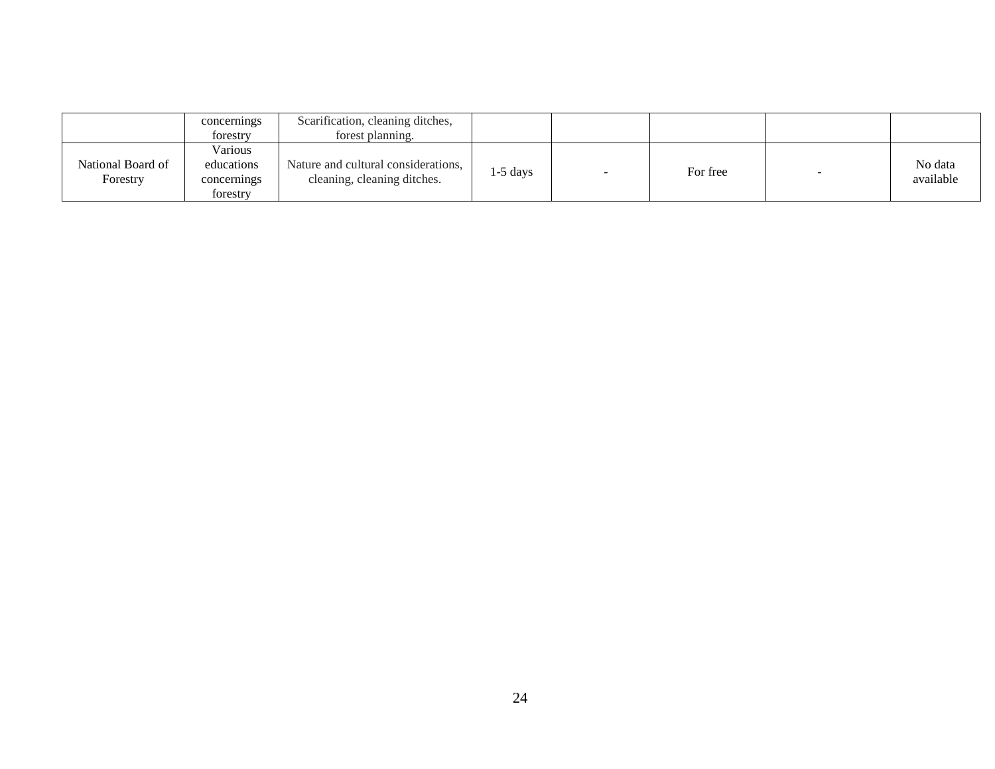|                               | concernings<br>forestry                          | Scarification, cleaning ditches,<br>forest planning.               |            |          |                      |
|-------------------------------|--------------------------------------------------|--------------------------------------------------------------------|------------|----------|----------------------|
| National Board of<br>Forestry | Various<br>educations<br>concernings<br>forestry | Nature and cultural considerations,<br>cleaning, cleaning ditches. | $1-5$ days | For free | No data<br>available |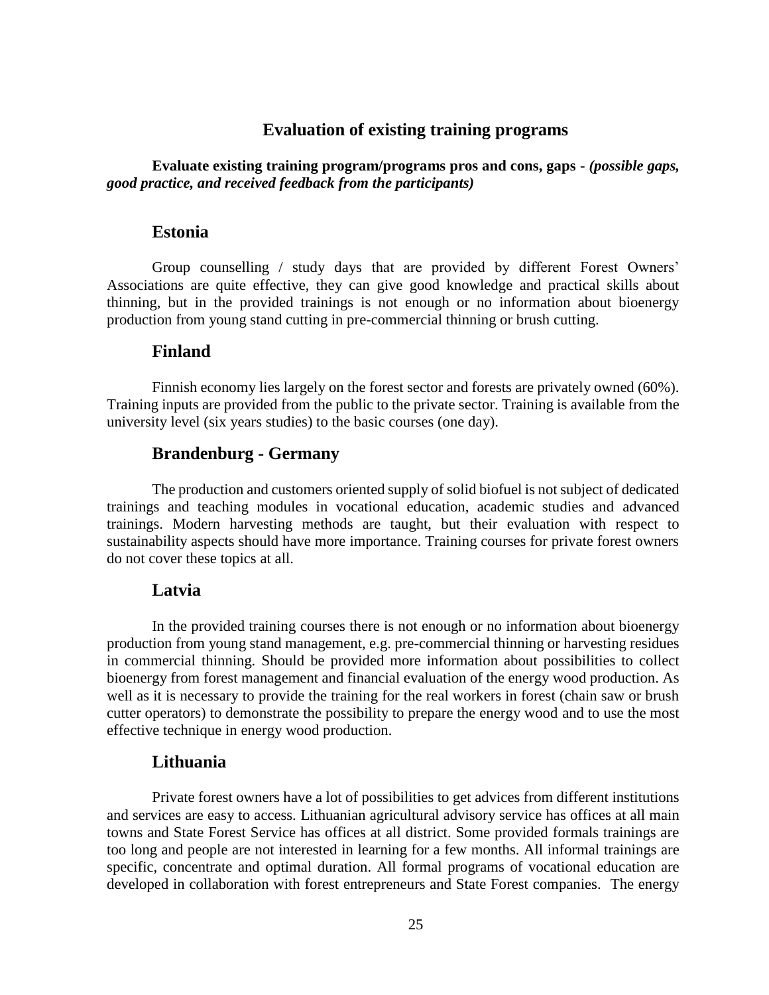# **Evaluation of existing training programs**

<span id="page-24-1"></span><span id="page-24-0"></span>**Evaluate existing training program/programs pros and cons, gaps -** *(possible gaps, good practice, and received feedback from the participants)*

#### **Estonia**

Group counselling / study days that are provided by different Forest Owners' Associations are quite effective, they can give good knowledge and practical skills about thinning, but in the provided trainings is not enough or no information about bioenergy production from young stand cutting in pre-commercial thinning or brush cutting.

# <span id="page-24-2"></span>**Finland**

<span id="page-24-3"></span>Finnish economy lies largely on the forest sector and forests are privately owned (60%). Training inputs are provided from the public to the private sector. Training is available from the university level (six years studies) to the basic courses (one day).

# **Brandenburg - Germany**

The production and customers oriented supply of solid biofuel is not subject of dedicated trainings and teaching modules in vocational education, academic studies and advanced trainings. Modern harvesting methods are taught, but their evaluation with respect to sustainability aspects should have more importance. Training courses for private forest owners do not cover these topics at all.

### <span id="page-24-4"></span>**Latvia**

<span id="page-24-5"></span>In the provided training courses there is not enough or no information about bioenergy production from young stand management, e.g. pre-commercial thinning or harvesting residues in commercial thinning. Should be provided more information about possibilities to collect bioenergy from forest management and financial evaluation of the energy wood production. As well as it is necessary to provide the training for the real workers in forest (chain saw or brush cutter operators) to demonstrate the possibility to prepare the energy wood and to use the most effective technique in energy wood production.

#### **Lithuania**

Private forest owners have a lot of possibilities to get advices from different institutions and services are easy to access. Lithuanian agricultural advisory service has offices at all main towns and State Forest Service has offices at all district. Some provided formals trainings are too long and people are not interested in learning for a few months. All informal trainings are specific, concentrate and optimal duration. All formal programs of vocational education are developed in collaboration with forest entrepreneurs and State Forest companies. The energy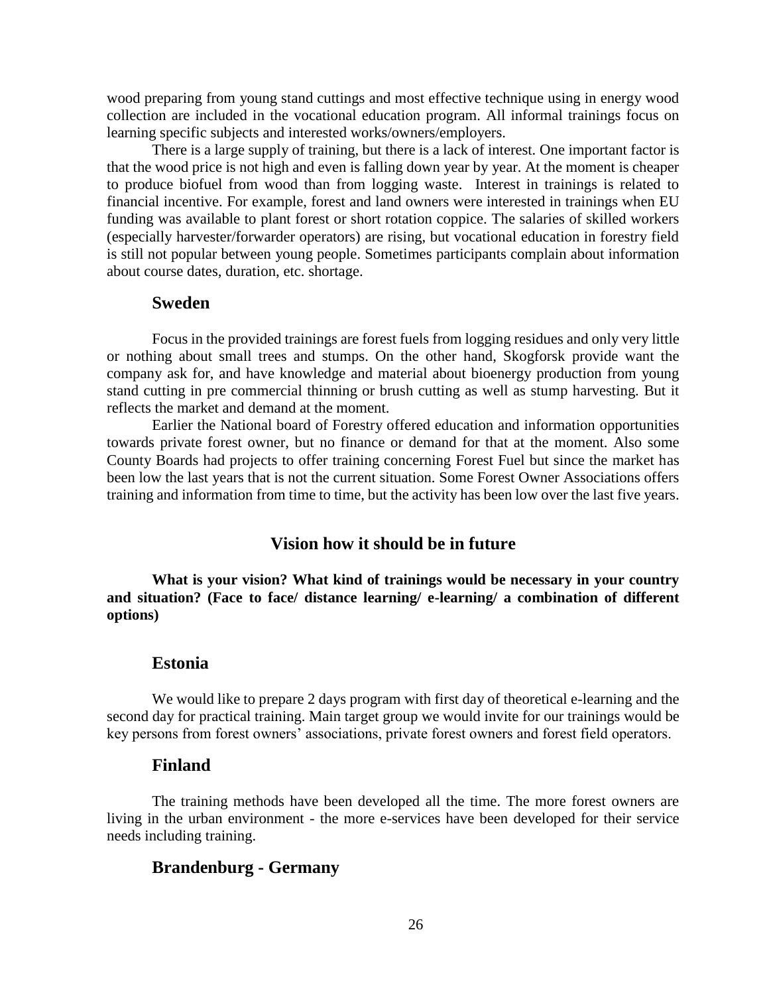wood preparing from young stand cuttings and most effective technique using in energy wood collection are included in the vocational education program. All informal trainings focus on learning specific subjects and interested works/owners/employers.

There is a large supply of training, but there is a lack of interest. One important factor is that the wood price is not high and even is falling down year by year. At the moment is cheaper to produce biofuel from wood than from logging waste. Interest in trainings is related to financial incentive. For example, forest and land owners were interested in trainings when EU funding was available to plant forest or short rotation coppice. The salaries of skilled workers (especially harvester/forwarder operators) are rising, but vocational education in forestry field is still not popular between young people. Sometimes participants complain about information about course dates, duration, etc. shortage.

#### <span id="page-25-0"></span>**Sweden**

Focus in the provided trainings are forest fuels from logging residues and only very little or nothing about small trees and stumps. On the other hand, Skogforsk provide want the company ask for, and have knowledge and material about bioenergy production from young stand cutting in pre commercial thinning or brush cutting as well as stump harvesting. But it reflects the market and demand at the moment.

Earlier the National board of Forestry offered education and information opportunities towards private forest owner, but no finance or demand for that at the moment. Also some County Boards had projects to offer training concerning Forest Fuel but since the market has been low the last years that is not the current situation. Some Forest Owner Associations offers training and information from time to time, but the activity has been low over the last five years.

# **Vision how it should be in future**

<span id="page-25-1"></span>**What is your vision? What kind of trainings would be necessary in your country and situation? (Face to face/ distance learning/ e-learning/ a combination of different options)** 

#### <span id="page-25-2"></span>**Estonia**

<span id="page-25-3"></span>We would like to prepare 2 days program with first day of theoretical e-learning and the second day for practical training. Main target group we would invite for our trainings would be key persons from forest owners' associations, private forest owners and forest field operators.

#### **Finland**

The training methods have been developed all the time. The more forest owners are living in the urban environment - the more e-services have been developed for their service needs including training.

### <span id="page-25-4"></span>**Brandenburg - Germany**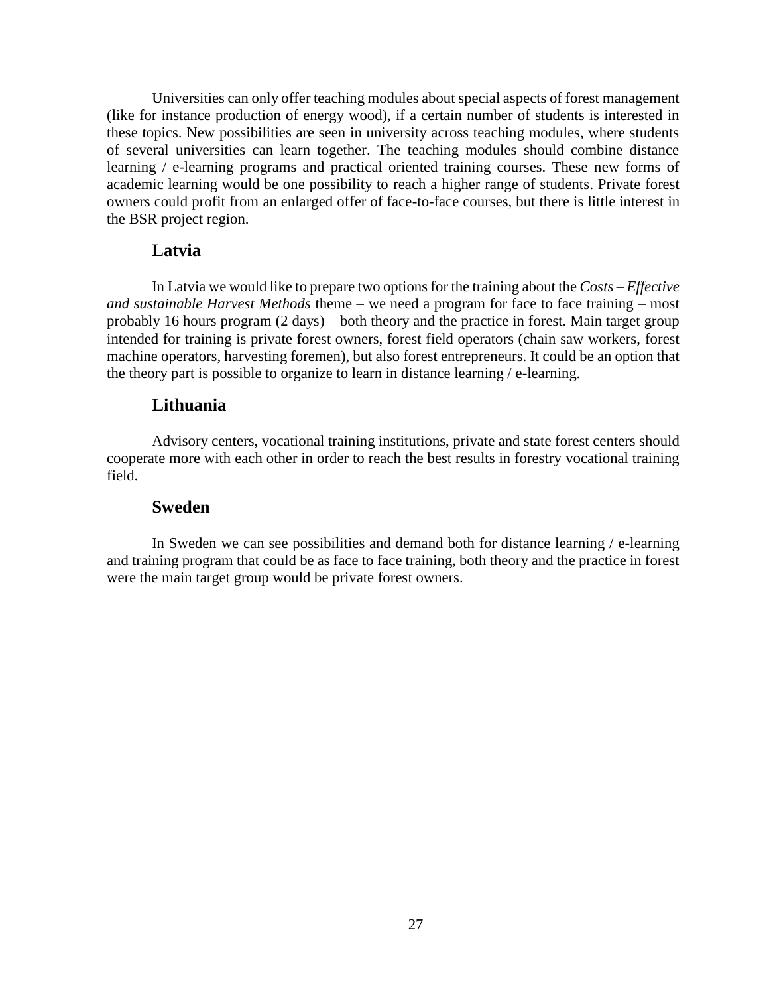Universities can only offer teaching modules about special aspects of forest management (like for instance production of energy wood), if a certain number of students is interested in these topics. New possibilities are seen in university across teaching modules, where students of several universities can learn together. The teaching modules should combine distance learning / e-learning programs and practical oriented training courses. These new forms of academic learning would be one possibility to reach a higher range of students. Private forest owners could profit from an enlarged offer of face-to-face courses, but there is little interest in the BSR project region.

# <span id="page-26-0"></span>**Latvia**

<span id="page-26-1"></span>In Latvia we would like to prepare two options for the training about the *Costs – Effective and sustainable Harvest Methods* theme – we need a program for face to face training – most probably 16 hours program (2 days) – both theory and the practice in forest. Main target group intended for training is private forest owners, forest field operators (chain saw workers, forest machine operators, harvesting foremen), but also forest entrepreneurs. It could be an option that the theory part is possible to organize to learn in distance learning / e-learning.

# **Lithuania**

<span id="page-26-2"></span>Advisory centers, vocational training institutions, private and state forest centers should cooperate more with each other in order to reach the best results in forestry vocational training field.

# **Sweden**

In Sweden we can see possibilities and demand both for distance learning / e-learning and training program that could be as face to face training, both theory and the practice in forest were the main target group would be private forest owners.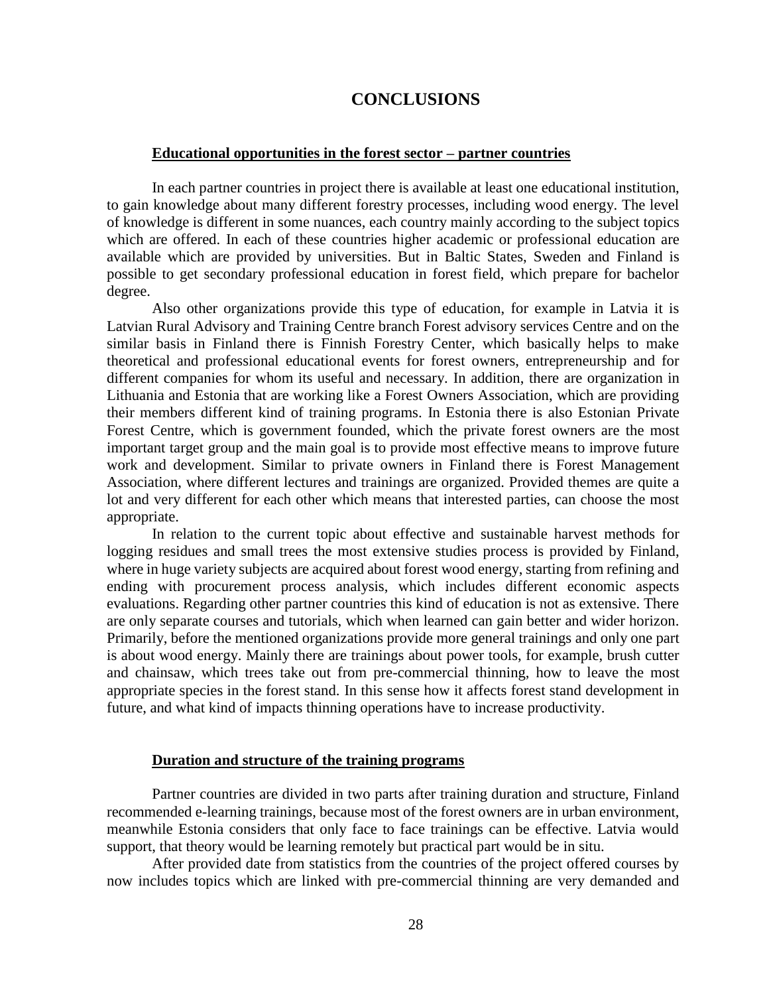# **CONCLUSIONS**

#### <span id="page-27-0"></span>**Educational opportunities in the forest sector – partner countries**

In each partner countries in project there is available at least one educational institution, to gain knowledge about many different forestry processes, including wood energy. The level of knowledge is different in some nuances, each country mainly according to the subject topics which are offered. In each of these countries higher academic or professional education are available which are provided by universities. But in Baltic States, Sweden and Finland is possible to get secondary professional education in forest field, which prepare for bachelor degree.

Also other organizations provide this type of education, for example in Latvia it is Latvian Rural Advisory and Training Centre branch Forest advisory services Centre and on the similar basis in Finland there is Finnish Forestry Center, which basically helps to make theoretical and professional educational events for forest owners, entrepreneurship and for different companies for whom its useful and necessary. In addition, there are organization in Lithuania and Estonia that are working like a Forest Owners Association, which are providing their members different kind of training programs. In Estonia there is also Estonian Private Forest Centre, which is government founded, which the private forest owners are the most important target group and the main goal is to provide most effective means to improve future work and development. Similar to private owners in Finland there is Forest Management Association, where different lectures and trainings are organized. Provided themes are quite a lot and very different for each other which means that interested parties, can choose the most appropriate.

In relation to the current topic about effective and sustainable harvest methods for logging residues and small trees the most extensive studies process is provided by Finland, where in huge variety subjects are acquired about forest wood energy, starting from refining and ending with procurement process analysis, which includes different economic aspects evaluations. Regarding other partner countries this kind of education is not as extensive. There are only separate courses and tutorials, which when learned can gain better and wider horizon. Primarily, before the mentioned organizations provide more general trainings and only one part is about wood energy. Mainly there are trainings about power tools, for example, brush cutter and chainsaw, which trees take out from pre-commercial thinning, how to leave the most appropriate species in the forest stand. In this sense how it affects forest stand development in future, and what kind of impacts thinning operations have to increase productivity.

#### **Duration and structure of the training programs**

Partner countries are divided in two parts after training duration and structure, Finland recommended e-learning trainings, because most of the forest owners are in urban environment, meanwhile Estonia considers that only face to face trainings can be effective. Latvia would support, that theory would be learning remotely but practical part would be in situ.

After provided date from statistics from the countries of the project offered courses by now includes topics which are linked with pre-commercial thinning are very demanded and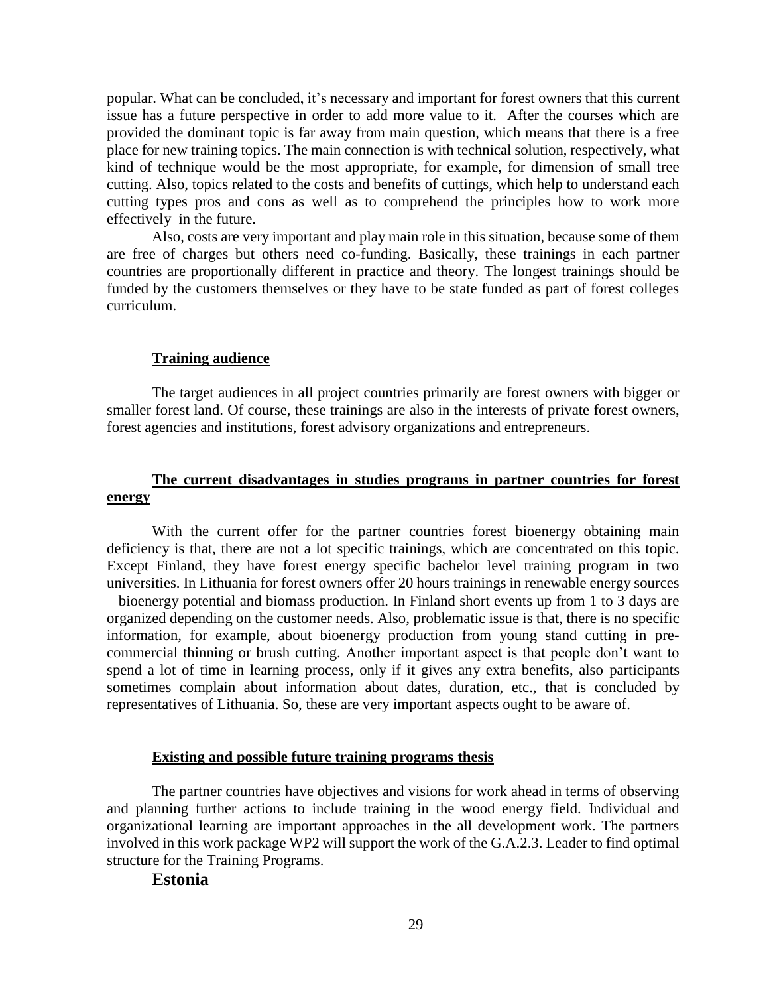popular. What can be concluded, it's necessary and important for forest owners that this current issue has a future perspective in order to add more value to it. After the courses which are provided the dominant topic is far away from main question, which means that there is a free place for new training topics. The main connection is with technical solution, respectively, what kind of technique would be the most appropriate, for example, for dimension of small tree cutting. Also, topics related to the costs and benefits of cuttings, which help to understand each cutting types pros and cons as well as to comprehend the principles how to work more effectively in the future.

Also, costs are very important and play main role in this situation, because some of them are free of charges but others need co-funding. Basically, these trainings in each partner countries are proportionally different in practice and theory. The longest trainings should be funded by the customers themselves or they have to be state funded as part of forest colleges curriculum.

#### **Training audience**

The target audiences in all project countries primarily are forest owners with bigger or smaller forest land. Of course, these trainings are also in the interests of private forest owners, forest agencies and institutions, forest advisory organizations and entrepreneurs.

# **The current disadvantages in studies programs in partner countries for forest energy**

With the current offer for the partner countries forest bioenergy obtaining main deficiency is that, there are not a lot specific trainings, which are concentrated on this topic. Except Finland, they have forest energy specific bachelor level training program in two universities. In Lithuania for forest owners offer 20 hours trainings in renewable energy sources – bioenergy potential and biomass production. In Finland short events up from 1 to 3 days are organized depending on the customer needs. Also, problematic issue is that, there is no specific information, for example, about bioenergy production from young stand cutting in precommercial thinning or brush cutting. Another important aspect is that people don't want to spend a lot of time in learning process, only if it gives any extra benefits, also participants sometimes complain about information about dates, duration, etc., that is concluded by representatives of Lithuania. So, these are very important aspects ought to be aware of.

#### **Existing and possible future training programs thesis**

The partner countries have objectives and visions for work ahead in terms of observing and planning further actions to include training in the wood energy field. Individual and organizational learning are important approaches in the all development work. The partners involved in this work package WP2 will support the work of the G.A.2.3. Leader to find optimal structure for the Training Programs.

#### **Estonia**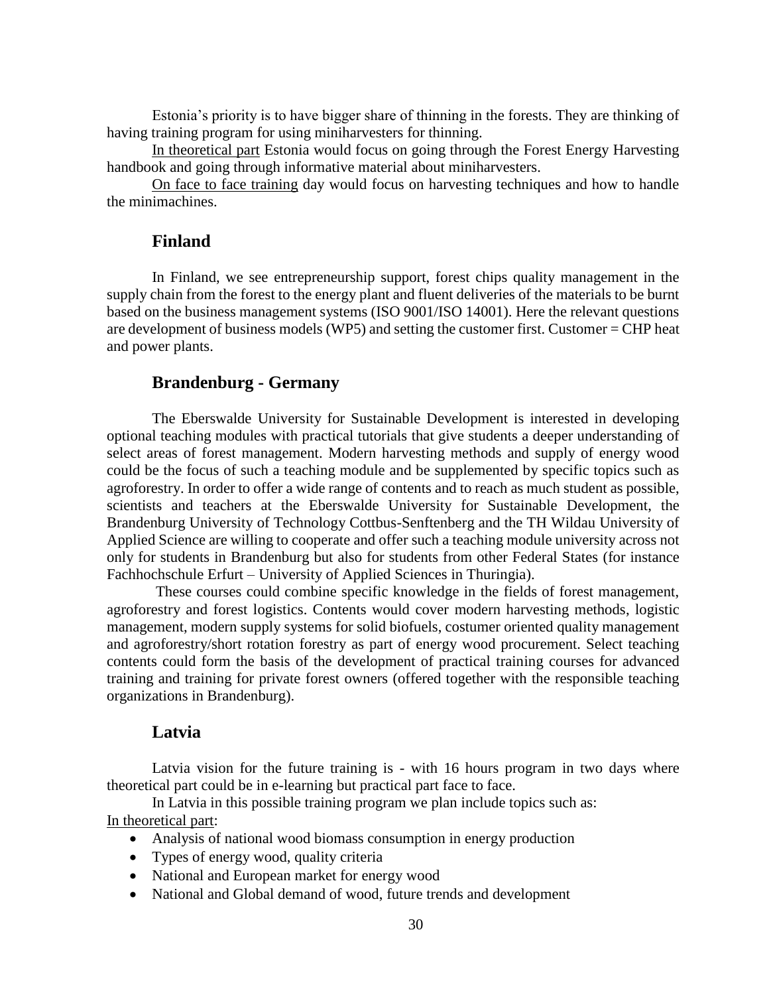Estonia's priority is to have bigger share of thinning in the forests. They are thinking of having training program for using miniharvesters for thinning.

In theoretical part Estonia would focus on going through the Forest Energy Harvesting handbook and going through informative material about miniharvesters.

On face to face training day would focus on harvesting techniques and how to handle the minimachines.

#### **Finland**

In Finland, we see entrepreneurship support, forest chips quality management in the supply chain from the forest to the energy plant and fluent deliveries of the materials to be burnt based on the business management systems (ISO 9001/ISO 14001). Here the relevant questions are development of business models (WP5) and setting the customer first. Customer = CHP heat and power plants.

### **Brandenburg - Germany**

The Eberswalde University for Sustainable Development is interested in developing optional teaching modules with practical tutorials that give students a deeper understanding of select areas of forest management. Modern harvesting methods and supply of energy wood could be the focus of such a teaching module and be supplemented by specific topics such as agroforestry. In order to offer a wide range of contents and to reach as much student as possible, scientists and teachers at the Eberswalde University for Sustainable Development, the Brandenburg University of Technology Cottbus-Senftenberg and the TH Wildau University of Applied Science are willing to cooperate and offer such a teaching module university across not only for students in Brandenburg but also for students from other Federal States (for instance Fachhochschule Erfurt – University of Applied Sciences in Thuringia).

These courses could combine specific knowledge in the fields of forest management, agroforestry and forest logistics. Contents would cover modern harvesting methods, logistic management, modern supply systems for solid biofuels, costumer oriented quality management and agroforestry/short rotation forestry as part of energy wood procurement. Select teaching contents could form the basis of the development of practical training courses for advanced training and training for private forest owners (offered together with the responsible teaching organizations in Brandenburg).

#### **Latvia**

Latvia vision for the future training is - with 16 hours program in two days where theoretical part could be in e-learning but practical part face to face.

In Latvia in this possible training program we plan include topics such as: In theoretical part:

- Analysis of national wood biomass consumption in energy production
- Types of energy wood, quality criteria
- National and European market for energy wood
- National and Global demand of wood, future trends and development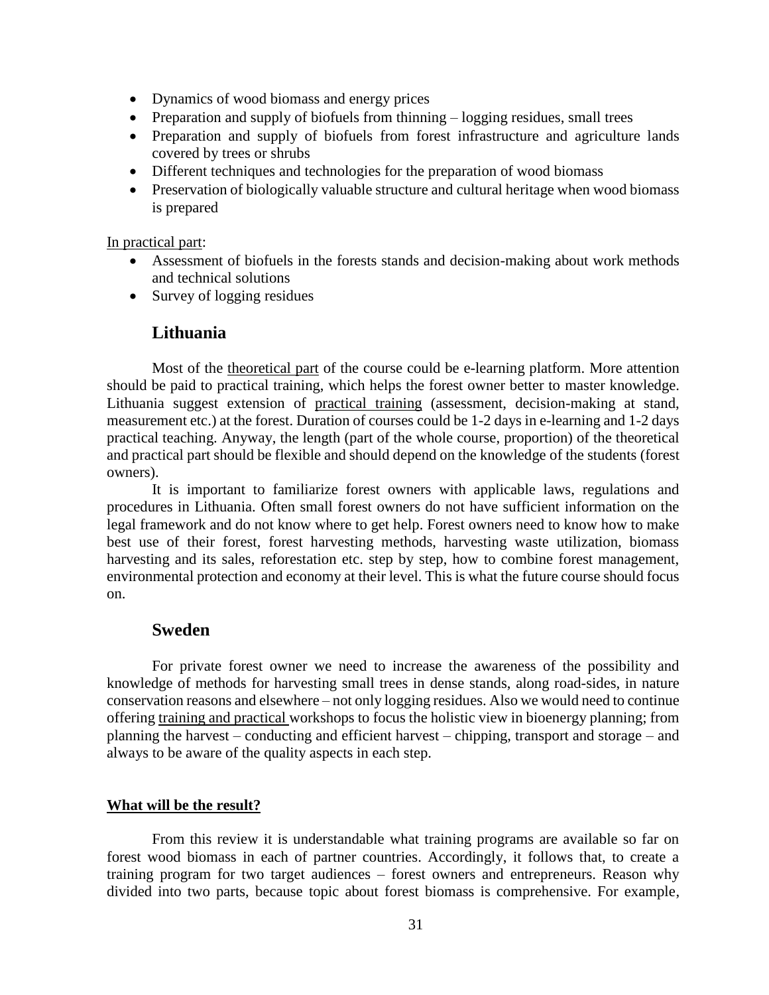- Dynamics of wood biomass and energy prices
- Preparation and supply of biofuels from thinning logging residues, small trees
- Preparation and supply of biofuels from forest infrastructure and agriculture lands covered by trees or shrubs
- Different techniques and technologies for the preparation of wood biomass
- Preservation of biologically valuable structure and cultural heritage when wood biomass is prepared

In practical part:

- Assessment of biofuels in the forests stands and decision-making about work methods and technical solutions
- Survey of logging residues

# **Lithuania**

Most of the theoretical part of the course could be e-learning platform. More attention should be paid to practical training, which helps the forest owner better to master knowledge. Lithuania suggest extension of practical training (assessment, decision-making at stand, measurement etc.) at the forest. Duration of courses could be 1-2 days in e-learning and 1-2 days practical teaching. Anyway, the length (part of the whole course, proportion) of the theoretical and practical part should be flexible and should depend on the knowledge of the students (forest owners).

It is important to familiarize forest owners with applicable laws, regulations and procedures in Lithuania. Often small forest owners do not have sufficient information on the legal framework and do not know where to get help. Forest owners need to know how to make best use of their forest, forest harvesting methods, harvesting waste utilization, biomass harvesting and its sales, reforestation etc. step by step, how to combine forest management, environmental protection and economy at their level. This is what the future course should focus on.

# **Sweden**

For private forest owner we need to increase the awareness of the possibility and knowledge of methods for harvesting small trees in dense stands, along road-sides, in nature conservation reasons and elsewhere – not only logging residues. Also we would need to continue offering training and practical workshops to focus the holistic view in bioenergy planning; from planning the harvest – conducting and efficient harvest – chipping, transport and storage – and always to be aware of the quality aspects in each step.

#### **What will be the result?**

From this review it is understandable what training programs are available so far on forest wood biomass in each of partner countries. Accordingly, it follows that, to create a training program for two target audiences – forest owners and entrepreneurs. Reason why divided into two parts, because topic about forest biomass is comprehensive. For example,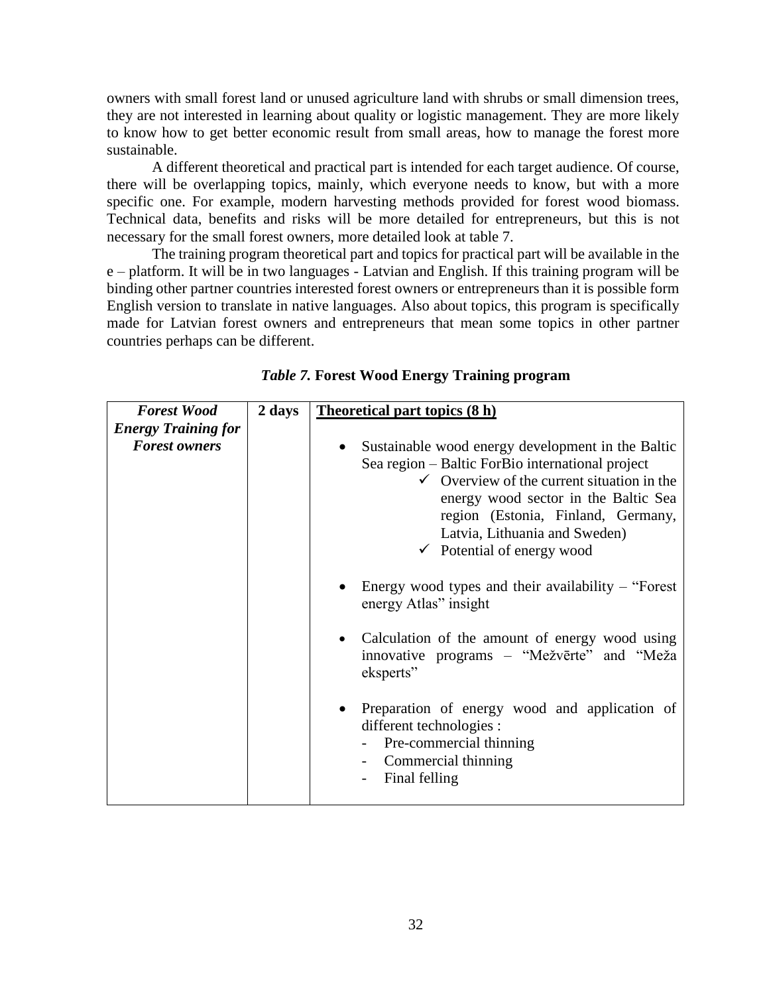owners with small forest land or unused agriculture land with shrubs or small dimension trees, they are not interested in learning about quality or logistic management. They are more likely to know how to get better economic result from small areas, how to manage the forest more sustainable.

A different theoretical and practical part is intended for each target audience. Of course, there will be overlapping topics, mainly, which everyone needs to know, but with a more specific one. For example, modern harvesting methods provided for forest wood biomass. Technical data, benefits and risks will be more detailed for entrepreneurs, but this is not necessary for the small forest owners, more detailed look at table 7.

The training program theoretical part and topics for practical part will be available in the e – platform. It will be in two languages - Latvian and English. If this training program will be binding other partner countries interested forest owners or entrepreneurs than it is possible form English version to translate in native languages. Also about topics, this program is specifically made for Latvian forest owners and entrepreneurs that mean some topics in other partner countries perhaps can be different.

| <b>Forest Wood</b>         | 2 days | <b>Theoretical part topics (8 h)</b>                                                                                                                                                                                                                                                                                                          |
|----------------------------|--------|-----------------------------------------------------------------------------------------------------------------------------------------------------------------------------------------------------------------------------------------------------------------------------------------------------------------------------------------------|
| <b>Energy Training for</b> |        |                                                                                                                                                                                                                                                                                                                                               |
| <b>Forest owners</b>       |        | Sustainable wood energy development in the Baltic<br>Sea region – Baltic ForBio international project<br>$\checkmark$ Overview of the current situation in the<br>energy wood sector in the Baltic Sea<br>region (Estonia, Finland, Germany,<br>Latvia, Lithuania and Sweden)<br>$\checkmark$ Potential of energy wood                        |
|                            |        | Energy wood types and their availability $-$ "Forest"<br>energy Atlas" insight<br>• Calculation of the amount of energy wood using<br>innovative programs – "Mežvērte" and "Meža<br>eksperts"<br>Preparation of energy wood and application of<br>different technologies :<br>Pre-commercial thinning<br>Commercial thinning<br>Final felling |

*Table 7.* **Forest Wood Energy Training program**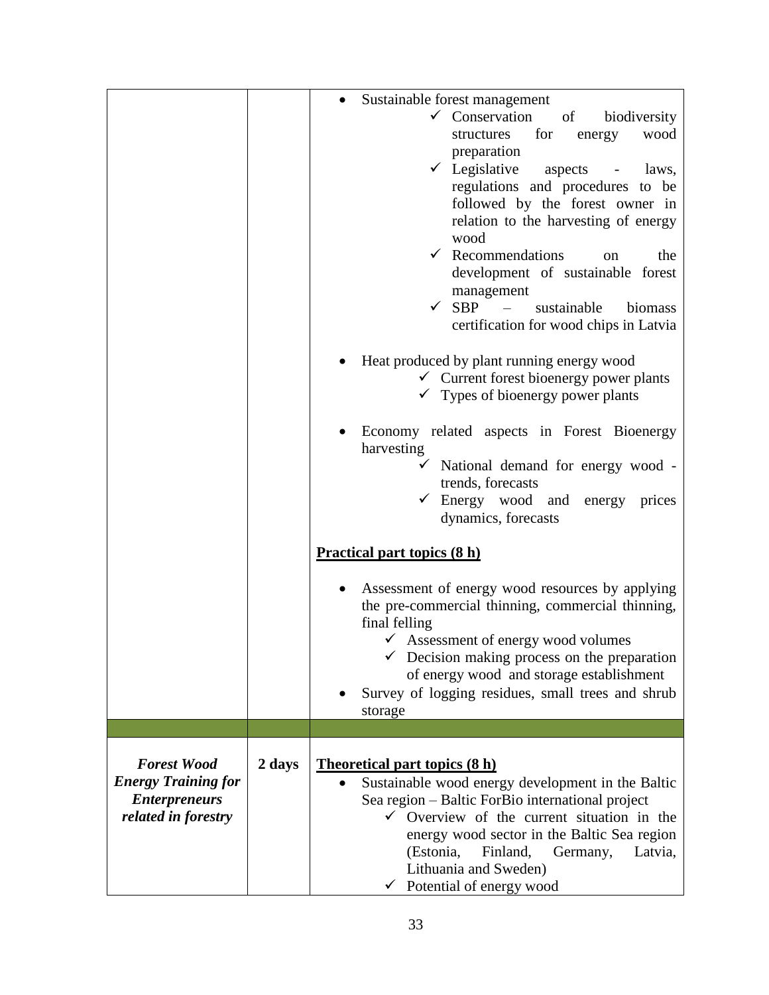|                                                                                                 |        | Sustainable forest management<br>$\checkmark$ Conservation<br>of<br>biodiversity<br>structures for<br>wood<br>energy<br>preparation<br>$\checkmark$ Legislative<br>aspects<br>laws,<br>$\sim$ $-$<br>regulations and procedures to be<br>followed by the forest owner in<br>relation to the harvesting of energy<br>wood<br>$\checkmark$ Recommendations<br>the<br>on<br>development of sustainable forest<br>management<br>$\checkmark$ SBP $-$<br>sustainable<br>biomass<br>certification for wood chips in Latvia<br>Heat produced by plant running energy wood<br>$\checkmark$ Current forest bioenergy power plants<br>$\checkmark$ Types of bioenergy power plants |
|-------------------------------------------------------------------------------------------------|--------|--------------------------------------------------------------------------------------------------------------------------------------------------------------------------------------------------------------------------------------------------------------------------------------------------------------------------------------------------------------------------------------------------------------------------------------------------------------------------------------------------------------------------------------------------------------------------------------------------------------------------------------------------------------------------|
|                                                                                                 |        | Economy related aspects in Forest Bioenergy<br>harvesting<br>$\checkmark$ National demand for energy wood -<br>trends, forecasts<br>$\checkmark$ Energy wood and<br>energy prices<br>dynamics, forecasts                                                                                                                                                                                                                                                                                                                                                                                                                                                                 |
|                                                                                                 |        | <b>Practical part topics (8 h)</b>                                                                                                                                                                                                                                                                                                                                                                                                                                                                                                                                                                                                                                       |
|                                                                                                 |        | Assessment of energy wood resources by applying<br>the pre-commercial thinning, commercial thinning,<br>final felling<br>$\checkmark$ Assessment of energy wood volumes<br>$\checkmark$ Decision making process on the preparation<br>of energy wood and storage establishment<br>Survey of logging residues, small trees and shrub<br>storage                                                                                                                                                                                                                                                                                                                           |
|                                                                                                 |        |                                                                                                                                                                                                                                                                                                                                                                                                                                                                                                                                                                                                                                                                          |
| <b>Forest Wood</b><br><b>Energy Training for</b><br><b>Enterpreneurs</b><br>related in forestry | 2 days | <b>Theoretical part topics (8 h)</b><br>Sustainable wood energy development in the Baltic<br>$\bullet$<br>Sea region - Baltic ForBio international project<br>$\checkmark$ Overview of the current situation in the<br>energy wood sector in the Baltic Sea region<br>(Estonia,<br>Finland,<br>Germany,<br>Latvia,<br>Lithuania and Sweden)<br>Potential of energy wood                                                                                                                                                                                                                                                                                                  |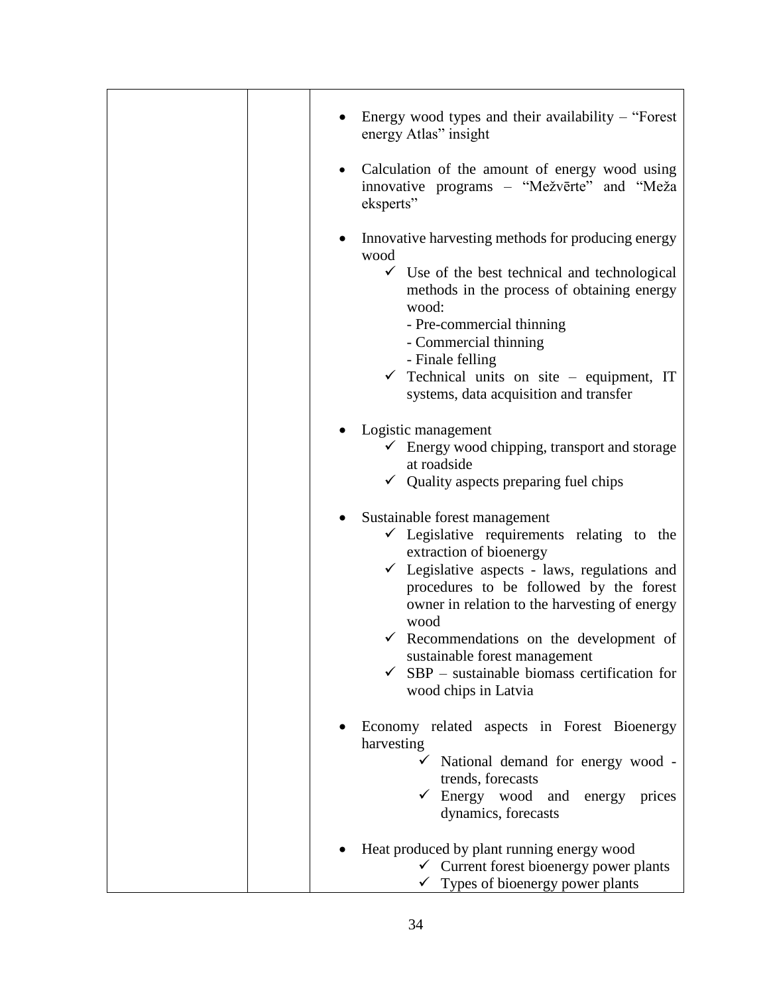| Energy wood types and their availability $-$ "Forest"<br>energy Atlas" insight                                                                                                                                                                                                                                                                                                                                                                                 |
|----------------------------------------------------------------------------------------------------------------------------------------------------------------------------------------------------------------------------------------------------------------------------------------------------------------------------------------------------------------------------------------------------------------------------------------------------------------|
| Calculation of the amount of energy wood using<br>$\bullet$<br>innovative programs – "Mežvērte" and "Meža<br>eksperts"                                                                                                                                                                                                                                                                                                                                         |
| Innovative harvesting methods for producing energy<br>wood<br>$\checkmark$ Use of the best technical and technological<br>methods in the process of obtaining energy<br>wood:<br>- Pre-commercial thinning<br>- Commercial thinning<br>- Finale felling<br>$\checkmark$ Technical units on site - equipment, IT<br>systems, data acquisition and transfer<br>Logistic management<br>$\checkmark$ Energy wood chipping, transport and storage<br>at roadside    |
| $\checkmark$ Quality aspects preparing fuel chips                                                                                                                                                                                                                                                                                                                                                                                                              |
| Sustainable forest management<br>$\bullet$<br>$\checkmark$ Legislative requirements relating to the<br>extraction of bioenergy<br>$\checkmark$ Legislative aspects - laws, regulations and<br>procedures to be followed by the forest<br>owner in relation to the harvesting of energy<br>wood<br>$\checkmark$ Recommendations on the development of<br>sustainable forest management<br>$SBP$ – sustainable biomass certification for<br>wood chips in Latvia |
| Economy related aspects in Forest Bioenergy<br>harvesting<br>$\checkmark$ National demand for energy wood -<br>trends, forecasts<br>$\checkmark$ Energy wood<br>and<br>energy<br>prices<br>dynamics, forecasts                                                                                                                                                                                                                                                 |
| Heat produced by plant running energy wood<br>$\checkmark$ Current forest bioenergy power plants<br>$\checkmark$ Types of bioenergy power plants                                                                                                                                                                                                                                                                                                               |